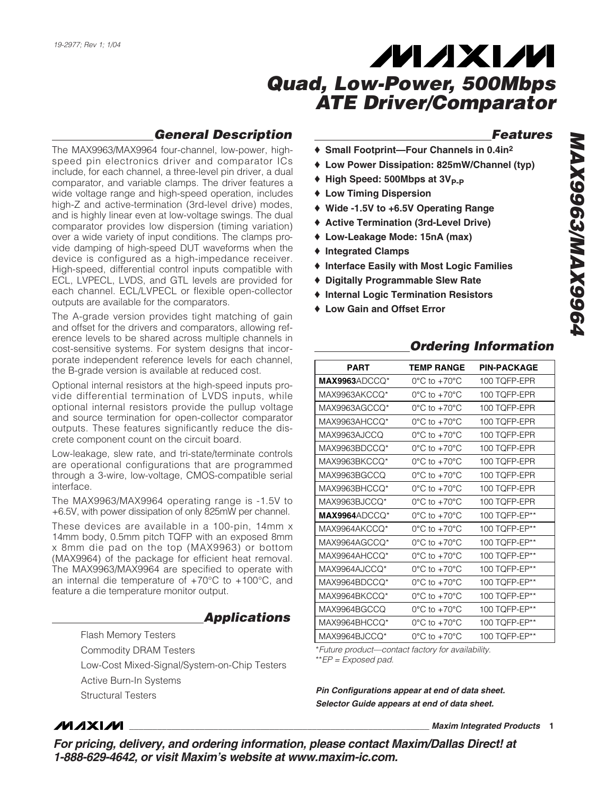#### *General Description*

The MAX9963/MAX9964 four-channel, low-power, highspeed pin electronics driver and comparator ICs include, for each channel, a three-level pin driver, a dual comparator, and variable clamps. The driver features a wide voltage range and high-speed operation, includes high-Z and active-termination (3rd-level drive) modes, and is highly linear even at low-voltage swings. The dual comparator provides low dispersion (timing variation) over a wide variety of input conditions. The clamps provide damping of high-speed DUT waveforms when the device is configured as a high-impedance receiver. High-speed, differential control inputs compatible with ECL, LVPECL, LVDS, and GTL levels are provided for each channel. ECL/LVPECL or flexible open-collector outputs are available for the comparators.

The A-grade version provides tight matching of gain and offset for the drivers and comparators, allowing reference levels to be shared across multiple channels in cost-sensitive systems. For system designs that incorporate independent reference levels for each channel, the B-grade version is available at reduced cost.

Optional internal resistors at the high-speed inputs provide differential termination of LVDS inputs, while optional internal resistors provide the pullup voltage and source termination for open-collector comparator outputs. These features significantly reduce the discrete component count on the circuit board.

Low-leakage, slew rate, and tri-state/terminate controls are operational configurations that are programmed through a 3-wire, low-voltage, CMOS-compatible serial interface.

The MAX9963/MAX9964 operating range is -1.5V to +6.5V, with power dissipation of only 825mW per channel.

These devices are available in a 100-pin, 14mm x 14mm body, 0.5mm pitch TQFP with an exposed 8mm x 8mm die pad on the top (MAX9963) or bottom (MAX9964) of the package for efficient heat removal. The MAX9963/MAX9964 are specified to operate with an internal die temperature of  $+70^{\circ}$ C to  $+100^{\circ}$ C, and feature a die temperature monitor output.

#### *Applications*

Flash Memory Testers

Commodity DRAM Testers

Low-Cost Mixed-Signal/System-on-Chip Testers

Active Burn-In Systems

Structural Testers

#### *Features*

- ♦ **Small Footprint—Four Channels in 0.4in2**
- ♦ **Low Power Dissipation: 825mW/Channel (typ)**
- ◆ High Speed: 500Mbps at 3V<sub>P-P</sub>
- ♦ **Low Timing Dispersion**
- ♦ **Wide -1.5V to +6.5V Operating Range**
- ♦ **Active Termination (3rd-Level Drive)**
- ♦ **Low-Leakage Mode: 15nA (max)**
- ♦ **Integrated Clamps**
- ♦ **Interface Easily with Most Logic Families**
- ♦ **Digitally Programmable Slew Rate**
- ♦ **Internal Logic Termination Resistors**
- ♦ **Low Gain and Offset Error**

#### *Ordering Information*

| <b>PART</b>   | TEMP RANGE                        | <b>PIN-PACKAGE</b> |
|---------------|-----------------------------------|--------------------|
| MAX9963ADCCO* | $0^{\circ}$ C to $+70^{\circ}$ C  | 100 TOFP-EPR       |
| MAX9963AKCCQ* | $0^{\circ}$ C to $+70^{\circ}$ C  | 100 TQFP-EPR       |
| MAX9963AGCCQ* | $0^{\circ}$ C to $+70^{\circ}$ C  | 100 TQFP-EPR       |
| MAX9963AHCCQ* | $0^{\circ}$ C to $+70^{\circ}$ C  | 100 TQFP-EPR       |
| MAX9963AJCCQ  | $0^{\circ}$ C to $+70^{\circ}$ C  | 100 TQFP-EPR       |
| MAX9963BDCCQ* | $0^{\circ}$ C to $+70^{\circ}$ C  | 100 TOFP-EPR       |
| MAX9963BKCCQ* | $0^{\circ}$ C to $+70^{\circ}$ C  | 100 TQFP-EPR       |
| MAX9963BGCCQ  | $0^{\circ}$ C to +70 $^{\circ}$ C | 100 TQFP-EPR       |
| MAX9963BHCCO* | $0^{\circ}$ C to $+70^{\circ}$ C  | 100 TOFP-EPR       |
| MAX9963BJCCO* | $0^{\circ}$ C to $+70^{\circ}$ C  | 100 TOFP-EPR       |
| MAX9964ADCCQ* | $0^{\circ}$ C to $+70^{\circ}$ C  | 100 TQFP-EP**      |
| MAX9964AKCCQ* | $0^{\circ}$ C to +70 $^{\circ}$ C | 100 TQFP-EP**      |
| MAX9964AGCCO* | $0^{\circ}$ C to $+70^{\circ}$ C  | 100 TQFP-EP**      |
| MAX9964AHCCQ* | $0^{\circ}$ C to $+70^{\circ}$ C  | 100 TQFP-EP**      |
| MAX9964AJCCQ* | $0^{\circ}$ C to $+70^{\circ}$ C  | 100 TQFP-EP**      |
| MAX9964BDCCQ* | $0^{\circ}$ C to $+70^{\circ}$ C  | 100 TQFP-EP**      |
| MAX9964BKCCO* | $0^{\circ}$ C to $+70^{\circ}$ C  | 100 TQFP-EP**      |
| MAX9964BGCCO  | $0^{\circ}$ C to $+70^{\circ}$ C  | 100 TQFP-EP**      |
| MAX9964BHCCO* | $0^{\circ}$ C to $+70^{\circ}$ C  | 100 TQFP-EP**      |
| MAX9964BJCCQ* | $0^{\circ}$ C to $+70^{\circ}$ C  | 100 TQFP-EP**      |

\**Future product—contact factory for availability.* \*\**EP = Exposed pad.*

*Pin Configurations appear at end of data sheet. Selector Guide appears at end of data sheet.*

#### **MAXIM**

**\_\_\_\_\_\_\_\_\_\_\_\_\_\_\_\_\_\_\_\_\_\_\_\_\_\_\_\_\_\_\_\_\_\_\_\_\_\_\_\_\_\_\_\_\_\_\_\_\_\_\_\_\_\_\_\_\_\_\_\_\_\_\_\_** *Maxim Integrated Products* **1**

*For pricing, delivery, and ordering information, please contact Maxim/Dallas Direct! at 1-888-629-4642, or visit Maxim's website at www.maxim-ic.com.*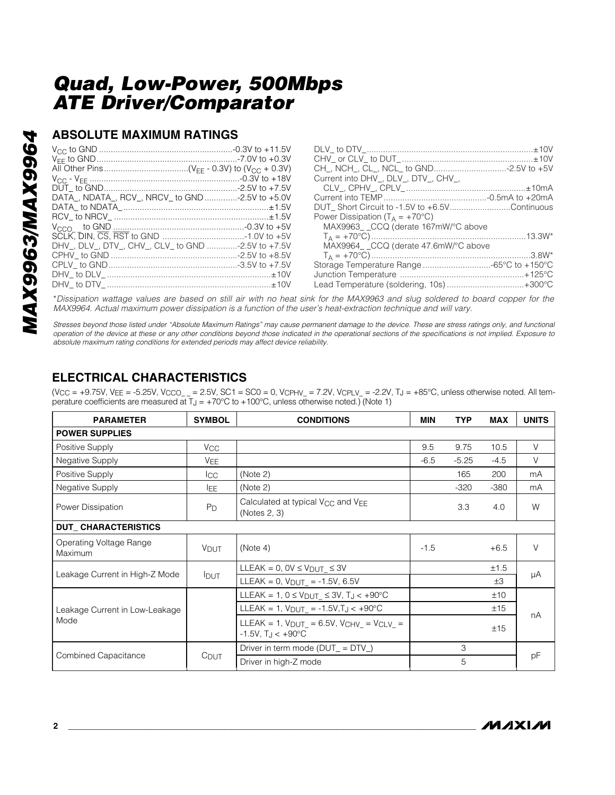#### **ABSOLUTE MAXIMUM RATINGS**

|                                                  | Current into DHV_, DLV_, DTV_, CHV_,          |
|--------------------------------------------------|-----------------------------------------------|
|                                                  |                                               |
| DATA_, NDATA_, RCV_, NRCV_ to GND -2.5V to +5.0V |                                               |
|                                                  | DUT Short Circuit to -1.5V to +6.5VContinuous |
|                                                  | Power Dissipation ( $T_A = +70^{\circ}C$ )    |
|                                                  | MAX9963_ _CCQ (derate 167mW/°C above          |
|                                                  |                                               |
| DHV, DLV, DTV, CHV, CLV to GND -2.5V to +7.5V    | MAX9964 CCQ (derate 47.6mW/°C above           |
|                                                  |                                               |
|                                                  |                                               |
|                                                  |                                               |
|                                                  | Lead Temperature (soldering, 10s)+300°C       |

\**Dissipation wattage values are based on still air with no heat sink for the MAX9963 and slug soldered to board copper for the MAX9964. Actual maximum power dissipation is a function of the user's heat-extraction technique and will vary.*

*Stresses beyond those listed under "Absolute Maximum Ratings" may cause permanent damage to the device. These are stress ratings only, and functional operation of the device at these or any other conditions beyond those indicated in the operational sections of the specifications is not implied. Exposure to absolute maximum rating conditions for extended periods may affect device reliability.*

## **ELECTRICAL CHARACTERISTICS**

(V<sub>CC</sub> = +9.75V, V<sub>EE</sub> = -5.25V, V<sub>CCO\_\_</sub> = 2.5V, SC1 = SC0 = 0, V<sub>CPHV\_</sub> = 7.2V, V<sub>CPLV\_</sub> = -2.2V, T<sub>J</sub> = +85°C, unless otherwise noted. All temperature coefficients are measured at  $T_J = +70^{\circ}$ C to  $+100^{\circ}$ C, unless otherwise noted.) (Note 1)

| <b>PARAMETER</b>                   | <b>SYMBOL</b>         | <b>CONDITIONS</b>                                                                                  | <b>MIN</b> | <b>TYP</b> | <b>MAX</b> | <b>UNITS</b> |  |
|------------------------------------|-----------------------|----------------------------------------------------------------------------------------------------|------------|------------|------------|--------------|--|
| <b>POWER SUPPLIES</b>              |                       |                                                                                                    |            |            |            |              |  |
| Positive Supply                    | <b>V<sub>CC</sub></b> |                                                                                                    | 9.5        | 9.75       | 10.5       | V            |  |
| Negative Supply                    | <b>VEE</b>            |                                                                                                    | $-6.5$     | $-5.25$    | $-4.5$     | V            |  |
| Positive Supply                    | $_{\rm{ICC}}$         | (Note 2)                                                                                           |            | 165        | 200        | mA           |  |
| Negative Supply                    | <b>IEE</b>            | (Note 2)                                                                                           |            | $-320$     | $-380$     | mA           |  |
| Power Dissipation                  | $P_D$                 | Calculated at typical V <sub>CC</sub> and V <sub>EE</sub><br>(Notes 2, 3)                          |            | 3.3        | 4.0        | W            |  |
| <b>DUT_CHARACTERISTICS</b>         |                       |                                                                                                    |            |            |            |              |  |
| Operating Voltage Range<br>Maximum | <b>V</b> DUT          | (Note 4)                                                                                           | $-1.5$     |            | $+6.5$     | $\vee$       |  |
|                                    | <b>I</b> DUT          | LLEAK = $0$ , $0V \leq V_{DUT} \leq 3V$                                                            |            |            | ±1.5       |              |  |
| Leakage Current in High-Z Mode     |                       | LLEAK = 0, $V_{DUT}$ = -1.5V, 6.5V                                                                 |            |            | $\pm 3$    | μA           |  |
|                                    |                       | LLEAK = 1, $0 \leq V_{DUT} \leq 3V$ , $T_J < +90^{\circ}C$                                         |            |            | ±10        |              |  |
| Leakage Current in Low-Leakage     |                       | LLEAK = 1, $V_{DUT}$ = -1.5V, T <sub>J</sub> < +90°C                                               |            |            | ±15        |              |  |
| Mode                               |                       | LLEAK = 1, $V_{DUT}$ = 6.5V, $V_{CHV}$ = $V_{CLV}$ =<br>$-1.5V$ , T <sub>J</sub> < $+90^{\circ}$ C |            |            | ±15        | nA           |  |
|                                    |                       | Driver in term mode $(DUT = DTV)$                                                                  |            | 3          |            |              |  |
| <b>Combined Capacitance</b>        | C <sub>DUT</sub>      | Driver in high-Z mode                                                                              |            | 5          |            | pF           |  |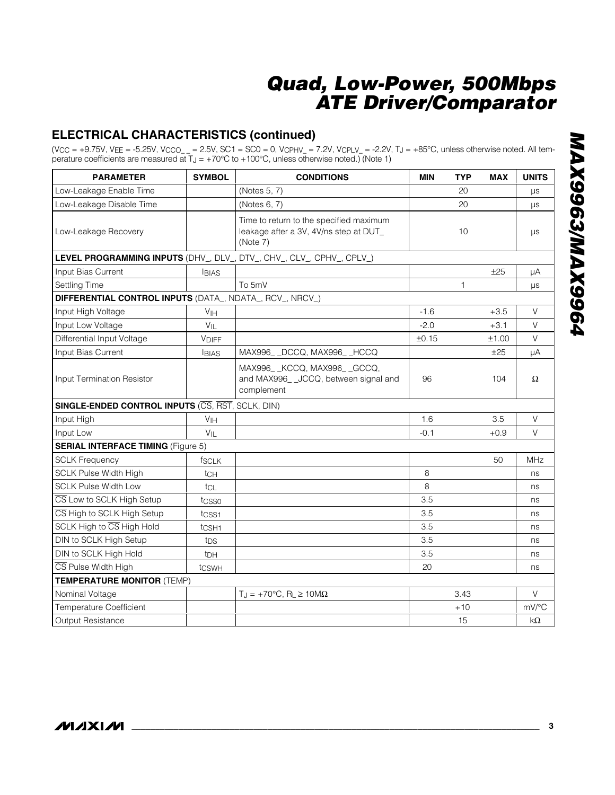#### **ELECTRICAL CHARACTERISTICS (continued)**

(V<sub>CC</sub> = +9.75V, V<sub>EE</sub> = -5.25V, V<sub>CCO\_ \_</sub> = 2.5V, SC1 = SC0 = 0, V<sub>CPHV\_</sub> = 7.2V, V<sub>CPLV\_</sub> = -2.2V, T<sub>J</sub> = +85°C, unless otherwise noted. All temperature coefficients are measured at  $T_J = +70^{\circ}C$  to  $+100^{\circ}C$ , unless otherwise noted.) (Note 1)

| <b>PARAMETER</b>                                         | <b>SYMBOL</b>     | <b>CONDITIONS</b>                                                                             | <b>MIN</b> | <b>TYP</b> | <b>MAX</b> | <b>UNITS</b> |
|----------------------------------------------------------|-------------------|-----------------------------------------------------------------------------------------------|------------|------------|------------|--------------|
| Low-Leakage Enable Time                                  |                   | (Notes 5, 7)                                                                                  |            | 20         |            | $\mu s$      |
| Low-Leakage Disable Time                                 |                   | (Notes 6, 7)                                                                                  |            | 20         |            | $\mu s$      |
| Low-Leakage Recovery                                     |                   | Time to return to the specified maximum<br>leakage after a 3V, 4V/ns step at DUT_<br>(Note 7) |            | 10         |            | $\mu s$      |
|                                                          |                   | LEVEL PROGRAMMING INPUTS (DHV_, DLV_, DTV_, CHV_, CLV_, CPHV_, CPLV_)                         |            |            |            |              |
| Input Bias Current                                       | <b>BIAS</b>       |                                                                                               |            |            | ±25        | μA           |
| Settling Time                                            |                   | To 5mV                                                                                        |            | 1          |            | μs           |
| DIFFERENTIAL CONTROL INPUTS (DATA_, NDATA_, RCV_, NRCV_) |                   |                                                                                               |            |            |            |              |
| Input High Voltage                                       | V <sub>IH</sub>   |                                                                                               | $-1.6$     |            | $+3.5$     | $\vee$       |
| Input Low Voltage                                        | $V_{IL}$          |                                                                                               | $-2.0$     |            | $+3.1$     | $\vee$       |
| Differential Input Voltage                               | <b>VDIFF</b>      |                                                                                               | ±0.15      |            | ±1.00      | $\vee$       |
| Input Bias Current                                       | <b>BIAS</b>       | MAX996_ _DCCQ, MAX996_ _HCCQ                                                                  |            |            | ±25        | μA           |
| <b>Input Termination Resistor</b>                        |                   | MAX996_ _KCCQ, MAX996_ _GCCQ,<br>and MAX996_ _JCCQ, between signal and<br>complement          | 96         |            | 104        | Ω            |
| <b>SINGLE-ENDED CONTROL INPUTS (CS, RST, SCLK, DIN)</b>  |                   |                                                                                               |            |            |            |              |
| Input High                                               | V <sub>IH</sub>   |                                                                                               | 1.6        |            | 3.5        | $\vee$       |
| Input Low                                                | $V_{IL}$          |                                                                                               | $-0.1$     |            | $+0.9$     | V            |
| <b>SERIAL INTERFACE TIMING (Figure 5)</b>                |                   |                                                                                               |            |            |            |              |
| <b>SCLK Frequency</b>                                    | <b>fSCLK</b>      |                                                                                               |            |            | 50         | <b>MHz</b>   |
| <b>SCLK Pulse Width High</b>                             | tch               |                                                                                               | 8          |            |            | ns           |
| <b>SCLK Pulse Width Low</b>                              | tcL               |                                                                                               | 8          |            |            | ns           |
| CS Low to SCLK High Setup                                | tcsso             |                                                                                               | 3.5        |            |            | ns           |
| CS High to SCLK High Setup                               | tcss <sub>1</sub> |                                                                                               | 3.5        |            |            | ns           |
| SCLK High to CS High Hold                                | t <sub>CSH1</sub> |                                                                                               | 3.5        |            |            | ns           |
| DIN to SCLK High Setup                                   | t <sub>DS</sub>   |                                                                                               | 3.5        |            |            | ns           |
| DIN to SCLK High Hold                                    | t <sub>DH</sub>   |                                                                                               | 3.5        |            |            | ns           |
| CS Pulse Width High                                      | tcswH             |                                                                                               | 20         |            |            | ns           |
| <b>TEMPERATURE MONITOR (TEMP)</b>                        |                   |                                                                                               |            |            |            |              |
| Nominal Voltage                                          |                   | $T_J = +70^{\circ}C$ , R <sub>L</sub> $\geq 10M\Omega$                                        |            | 3.43       |            | V            |
| Temperature Coefficient                                  |                   |                                                                                               |            | $+10$      |            | mV/°C        |
| <b>Output Resistance</b>                                 |                   |                                                                                               |            | 15         |            | kΩ           |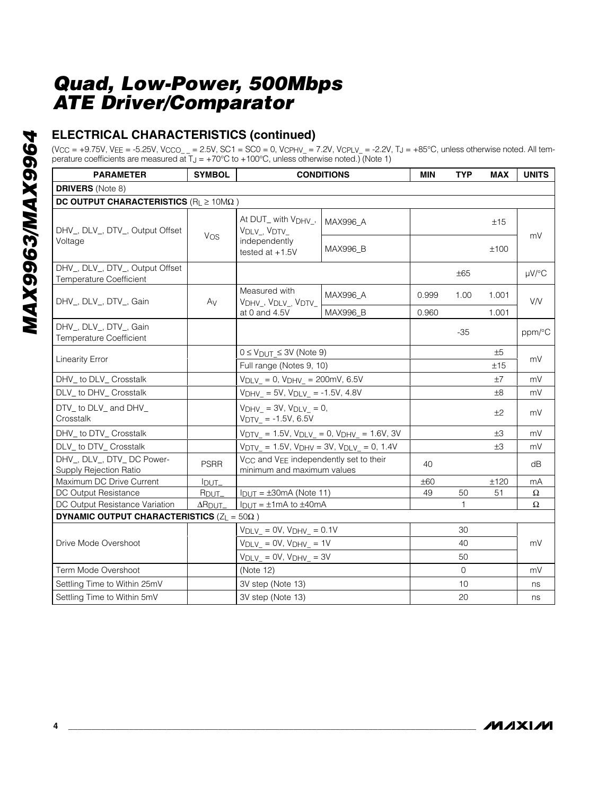## **ELECTRICAL CHARACTERISTICS (continued)**

 $(V_{CC} = +9.75V, V_{EE} = -5.25V, V_{CCO_{--}} = 2.5V, SC1 = SC0 = 0, V_{CPHV_{-}} = 7.2V, V_{CPLV_{-}} = -2.2V, TJ = +85°C, unless otherwise noted. All tem$ perature coefficients are measured at  $T_J = +70^{\circ}C$  to  $+100^{\circ}C$ , unless otherwise noted.) (Note 1)

| <b>PARAMETER</b>                                                    | <b>SYMBOL</b>             |                                                                                              | <b>CONDITIONS</b>                                                             | <b>MIN</b> | <b>TYP</b>   | <b>MAX</b> | <b>UNITS</b> |
|---------------------------------------------------------------------|---------------------------|----------------------------------------------------------------------------------------------|-------------------------------------------------------------------------------|------------|--------------|------------|--------------|
| <b>DRIVERS</b> (Note 8)                                             |                           |                                                                                              |                                                                               |            |              |            |              |
| DC OUTPUT CHARACTERISTICS ( $R_L \ge 10M\Omega$ )                   |                           |                                                                                              |                                                                               |            |              |            |              |
| DHV, DLV, DTV, Output Offset                                        | Vos                       | At DUT_ with V <sub>DHV_</sub> ,<br>V <sub>DLV</sub> , V <sub>DTV</sub>                      | MAX996_A                                                                      |            |              | ±15        | mV           |
| Voltage                                                             |                           | independently<br>tested at $+1.5V$                                                           | <b>MAX996 B</b>                                                               |            |              | ±100       |              |
| DHV_, DLV_, DTV_, Output Offset<br><b>Temperature Coefficient</b>   |                           |                                                                                              |                                                                               |            | $\pm 65$     |            | µV/°C        |
| DHV <sub>_</sub> , DLV <sub>_</sub> , DTV <sub>_</sub> , Gain       | Av                        | Measured with<br>VDHV_, VDLV_, VDTV_                                                         | MAX996_A                                                                      | 0.999      | 1.00         | 1.001      | <b>V/V</b>   |
|                                                                     |                           | at 0 and 4.5V                                                                                | MAX996_B                                                                      | 0.960      |              | 1.001      |              |
| DHV_, DLV_, DTV_, Gain<br><b>Temperature Coefficient</b>            |                           |                                                                                              |                                                                               |            | $-35$        |            | ppm/°C       |
|                                                                     |                           | $0 \le V_{DUT} \le 3V$ (Note 9)                                                              |                                                                               |            |              | ±5         |              |
| <b>Linearity Error</b>                                              |                           | Full range (Notes 9, 10)                                                                     |                                                                               |            |              | ±15        | mV           |
| DHV_ to DLV_ Crosstalk                                              |                           | $V_{DLV_{-}} = 0$ , $V_{DHV_{-}} = 200$ mV, 6.5V                                             |                                                                               |            |              | ±7         | mV           |
| DLV to DHV Crosstalk                                                |                           | $V_{DHV} = 5V$ , $V_{DLV} = -1.5V$ , 4.8V                                                    |                                                                               |            |              | ±8         | mV           |
| DTV to DLV and DHV<br>Crosstalk                                     |                           | $V_{DHV}$ = 3V, $V_{DLV}$ = 0,<br>$V_{\text{DIV}} = -1.5V, 6.5V$                             |                                                                               |            |              | ±2         | mV           |
| DHV_ to DTV_ Crosstalk                                              |                           |                                                                                              | $V_{\text{DIV}} = 1.5V$ , $V_{\text{DLV}} = 0$ , $V_{\text{DHV}} = 1.6V$ , 3V |            |              | $\pm 3$    | mV           |
| DLV_ to DTV_ Crosstalk                                              |                           | $V_{\text{DIV}} = 1.5V$ , $V_{\text{DHV}} = 3V$ , $V_{\text{DLV}} = 0$ , 1.4V                |                                                                               |            |              | ±3         | mV           |
| DHV_, DLV_, DTV_ DC Power-<br>Supply Rejection Ratio                | <b>PSRR</b>               | V <sub>CC</sub> and V <sub>EE</sub> independently set to their<br>minimum and maximum values |                                                                               | 40         |              |            | dB           |
| Maximum DC Drive Current                                            | $I_{DUT}$                 |                                                                                              |                                                                               | ±60        |              | ±120       | mA           |
| DC Output Resistance                                                | R <sub>DUT</sub>          | $I_{DUT} = \pm 30 \text{mA}$ (Note 11)                                                       |                                                                               | 49         | 50           | 51         | Ω            |
| DC Output Resistance Variation                                      | $\Delta$ R <sub>DUT</sub> | $I_{DUT} = \pm 1 \text{mA}$ to $\pm 40 \text{mA}$                                            |                                                                               |            | $\mathbf{1}$ |            | Ω            |
| <b>DYNAMIC OUTPUT CHARACTERISTICS (<math>Z_L = 50\Omega</math>)</b> |                           |                                                                                              |                                                                               |            |              |            |              |
|                                                                     |                           | $V_{DLV_{-}} = 0V$ , $V_{DHV_{-}} = 0.1V$                                                    |                                                                               |            | 30           |            |              |
| Drive Mode Overshoot                                                |                           | $V_{DLV_{-}} = 0V$ , $V_{DHV_{-}} = 1V$                                                      |                                                                               |            | 40           |            | mV           |
|                                                                     |                           | $V_{DLV_{-}}$ = 0V, $V_{DHV_{-}}$ = 3V                                                       |                                                                               |            | 50           |            |              |
| Term Mode Overshoot                                                 |                           | (Note 12)                                                                                    |                                                                               |            | $\Omega$     |            | mV           |
| Settling Time to Within 25mV                                        |                           | 3V step (Note 13)                                                                            |                                                                               |            | 10           |            | ns           |
| Settling Time to Within 5mV                                         |                           | 3V step (Note 13)                                                                            |                                                                               |            | 20           |            | ns           |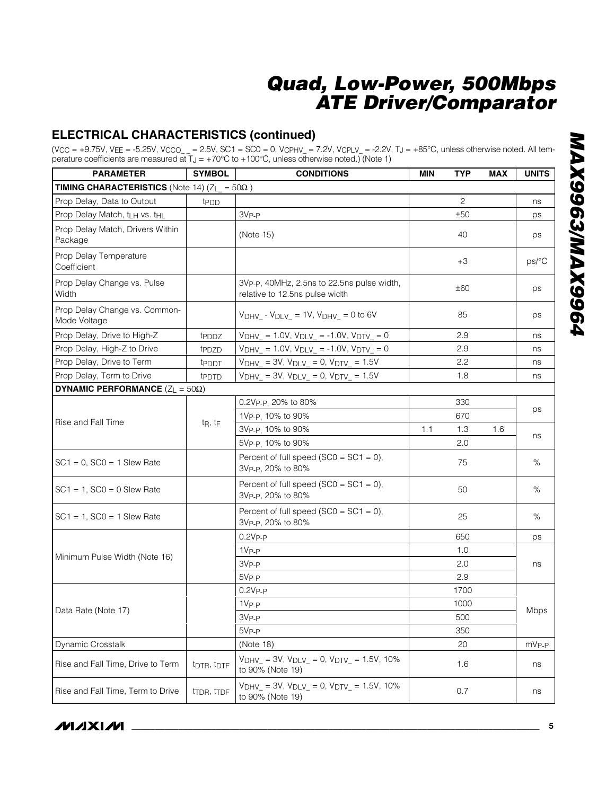#### **ELECTRICAL CHARACTERISTICS (continued)**

(V<sub>CC</sub> = +9.75V, V<sub>EE</sub> = -5.25V, V<sub>CCO\_ \_</sub> = 2.5V, SC1 = SC0 = 0, V<sub>CPHV\_</sub> = 7.2V, V<sub>CPLV\_</sub> = -2.2V, T<sub>J</sub> = +85°C, unless otherwise noted. All temperature coefficients are measured at  $T_J = +70^{\circ}C$  to  $+100^{\circ}C$ , unless otherwise noted.) (Note 1)

| <b>PARAMETER</b>                                           | <b>SYMBOL</b>                       | <b>CONDITIONS</b>                                                                       | <b>MIN</b> | <b>TYP</b> | <b>MAX</b> | <b>UNITS</b>      |
|------------------------------------------------------------|-------------------------------------|-----------------------------------------------------------------------------------------|------------|------------|------------|-------------------|
| <b>TIMING CHARACTERISTICS</b> (Note 14) $(Z_L = 50\Omega)$ |                                     |                                                                                         |            |            |            |                   |
| Prop Delay, Data to Output                                 | t <sub>PDD</sub>                    |                                                                                         |            | 2          |            | ns                |
| Prop Delay Match, t <sub>LH</sub> vs. t <sub>HL</sub>      |                                     | 3V <sub>P-P</sub>                                                                       |            | ±50        |            | ps                |
| Prop Delay Match, Drivers Within<br>Package                |                                     | (Note 15)                                                                               |            | 40         |            | ps                |
| Prop Delay Temperature<br>Coefficient                      |                                     |                                                                                         |            | $+3$       |            | ps/°C             |
| Prop Delay Change vs. Pulse<br>Width                       |                                     | 3Vp-p, 40MHz, 2.5ns to 22.5ns pulse width,<br>relative to 12.5ns pulse width            |            | ±60        |            | ps                |
| Prop Delay Change vs. Common-<br>Mode Voltage              |                                     | $V_{DHV}$ - $V_{DLV}$ = 1V, $V_{DHV}$ = 0 to 6V                                         |            | 85         |            | ps                |
| Prop Delay, Drive to High-Z                                | tpppz                               | $V_{DHV} = 1.0V$ , $V_{DLV} = -1.0V$ , $V_{DTV} = 0$                                    |            | 2.9        |            | ns                |
| Prop Delay, High-Z to Drive                                | t <sub>PDZD</sub>                   | $V_{DHV} = 1.0V$ , $V_{DLV} = -1.0V$ , $V_{DTV} = 0$                                    |            | 2.9        |            | ns                |
| Prop Delay, Drive to Term                                  | tpppt                               | $V_{DHV} = 3V$ , $V_{DLV} = 0$ , $V_{DTV} = 1.5V$                                       |            | 2.2        |            | ns                |
| Prop Delay, Term to Drive                                  | tppTD                               | $V_{DHV} = 3V$ , $V_{DLV} = 0$ , $V_{DTV} = 1.5V$                                       |            | 1.8        |            | ns                |
| <b>DYNAMIC PERFORMANCE</b> $(Z_L = 50\Omega)$              |                                     |                                                                                         |            |            |            |                   |
|                                                            | $t_R$ , $t_F$                       | 0.2Vp-p. 20% to 80%                                                                     | 330<br>670 |            |            |                   |
|                                                            |                                     | 1V <sub>P-P.</sub> 10% to 90%                                                           |            |            |            | ps                |
| Rise and Fall Time                                         |                                     | 3Vp-p. 10% to 90%                                                                       | 1.1        | 1.3        | 1.6        |                   |
|                                                            |                                     | 5Vp-p 10% to 90%                                                                        |            | 2.0        |            | ns                |
| $SC1 = 0$ , $SC0 = 1$ Slew Rate                            |                                     | Percent of full speed ( $SC0 = SC1 = 0$ ),<br>3Vp-p, 20% to 80%                         |            | 75         |            | $\%$              |
| $SC1 = 1$ , $SC0 = 0$ Slew Rate                            |                                     | Percent of full speed ( $SC0 = SC1 = 0$ ),<br>3Vp-p, 20% to 80%                         |            | 50         |            | %                 |
| $SC1 = 1$ , $SC0 = 1$ Slew Rate                            |                                     | Percent of full speed ( $SC0 = SC1 = 0$ ),<br>3Vp-p, 20% to 80%                         |            | 25         |            | %                 |
|                                                            |                                     | $0.2V_{P-P}$                                                                            |            | 650        |            | ps                |
|                                                            |                                     | 1V <sub>P-P</sub>                                                                       |            | 1.0        |            |                   |
| Minimum Pulse Width (Note 16)                              |                                     | 3V <sub>P-P</sub>                                                                       |            | 2.0        |            | ns                |
|                                                            |                                     | $5VP-P$                                                                                 |            | 2.9        |            |                   |
|                                                            |                                     | $0.2V_{P-P}$                                                                            |            | 1700       |            |                   |
|                                                            |                                     | 1V <sub>P-P</sub>                                                                       |            | 1000       |            |                   |
| Data Rate (Note 17)                                        |                                     | 3V <sub>P-P</sub>                                                                       |            | 500        |            | Mbps              |
|                                                            |                                     | $5VP-P$                                                                                 |            | 350        |            |                   |
| Dynamic Crosstalk                                          |                                     | (Note 18)                                                                               |            | 20         |            | mV <sub>P-P</sub> |
| Rise and Fall Time, Drive to Term                          | t <sub>DTR</sub> , t <sub>DTF</sub> | $V_{DHV_{-}} = 3V$ , $V_{DLV_{-}} = 0$ , $V_{DTV_{-}} = 1.5V$ , 10%<br>to 90% (Note 19) |            | 1.6        |            | ns                |
| Rise and Fall Time, Term to Drive                          | tron, tron                          | $V_{DHV}$ = 3V, $V_{DLV}$ = 0, $V_{DTV}$ = 1.5V, 10%<br>to 90% (Note 19)                |            | 0.7        |            | ns                |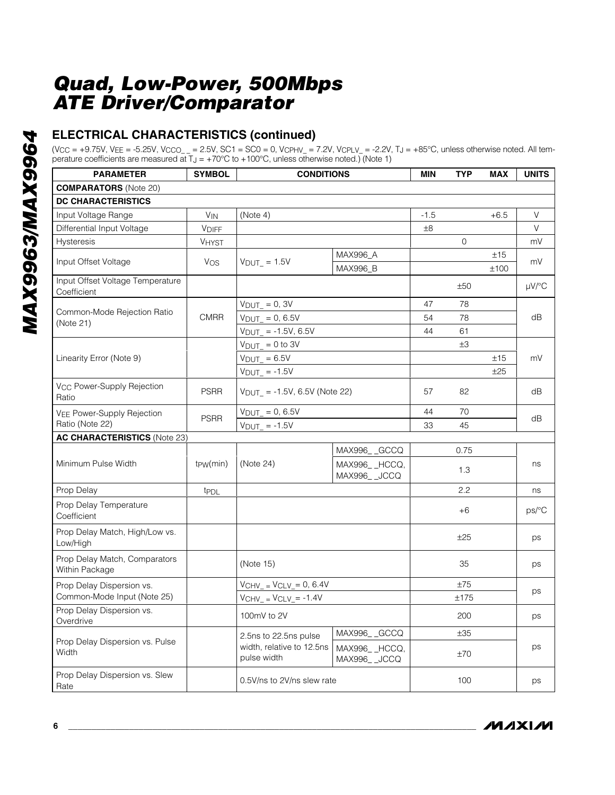## **ELECTRICAL CHARACTERISTICS (continued)**

 $(V_{CC} = +9.75V, V_{EE} = -5.25V, V_{CCO_{--}} = 2.5V, SC1 = SC0 = 0, V_{CPHV_{-}} = 7.2V, V_{CPLV_{-}} = -2.2V, TJ = +85°C, unless otherwise noted. All tem$ perature coefficients are measured at  $T_J = +70^{\circ}C$  to  $+100^{\circ}C$ , unless otherwise noted.) (Note 1)

| <b>PARAMETER</b>                                | <b>SYMBOL</b>         | <b>CONDITIONS</b>                        |                             | MIN    | <b>TYP</b> | <b>MAX</b>  | <b>UNITS</b> |
|-------------------------------------------------|-----------------------|------------------------------------------|-----------------------------|--------|------------|-------------|--------------|
| <b>COMPARATORS</b> (Note 20)                    |                       |                                          |                             |        |            |             |              |
| <b>DC CHARACTERISTICS</b>                       |                       |                                          |                             |        |            |             |              |
| Input Voltage Range                             | <b>V<sub>IN</sub></b> | (Note 4)                                 |                             | $-1.5$ |            | $+6.5$      | V            |
| Differential Input Voltage                      | <b>VDIFF</b>          |                                          |                             | ±8     |            |             | V            |
| <b>Hysteresis</b>                               | <b>VHYST</b>          |                                          |                             |        | 0          |             | mV           |
| Input Offset Voltage                            | Vos                   | $V_{DUT}$ = 1.5V                         | MAX996_A<br>MAX996_B        |        |            | ±15<br>±100 | mV           |
| Input Offset Voltage Temperature<br>Coefficient |                       |                                          |                             |        | ±50        |             | µV/°C        |
|                                                 |                       | $V_{DUT_{-}} = 0, 3V$                    |                             | 47     | 78         |             |              |
| Common-Mode Rejection Ratio<br>(Note 21)        | <b>CMRR</b>           | $V_{DUT} = 0, 6.5V$                      |                             | 54     | 78         |             | dB           |
|                                                 |                       | $V_{DUT}$ = -1.5V, 6.5V                  |                             | 44     | 61         |             |              |
|                                                 |                       | $V_{DUT} = 0$ to 3V                      |                             |        | ±3         |             |              |
| Linearity Error (Note 9)                        |                       | $V_{DUT} = 6.5V$                         |                             |        |            | ±15         | mV           |
|                                                 |                       | $V_{DUT}$ = -1.5V                        |                             |        |            | ±25         |              |
| V <sub>CC</sub> Power-Supply Rejection<br>Ratio | <b>PSRR</b>           | $V_{DUT_{-}} = -1.5V, 6.5V$ (Note 22)    |                             | 57     | 82         |             | dB           |
| <b>VEE Power-Supply Rejection</b>               |                       | $V_{DUT} = 0, 6.5V$                      |                             | 44     | 70         |             |              |
| Ratio (Note 22)                                 | <b>PSRR</b>           | $V_{DUT_{-}} = -1.5V$                    |                             | 33     | 45         |             | dB           |
| <b>AC CHARACTERISTICS (Note 23)</b>             |                       |                                          |                             |        |            |             |              |
|                                                 |                       | MAX996_GCCQ                              |                             |        | 0.75       |             |              |
| Minimum Pulse Width                             | tpw(min)              | (Note 24)                                | MAX996_HCCQ,<br>MAX996_JCCQ |        | 1.3        |             | ns           |
| Prop Delay                                      | tppL                  |                                          |                             |        | 2.2        |             | ns           |
| Prop Delay Temperature<br>Coefficient           |                       |                                          |                             |        | $+6$       |             | ps/°C        |
| Prop Delay Match, High/Low vs.<br>Low/High      |                       |                                          |                             |        | ±25        |             | ps           |
| Prop Delay Match, Comparators<br>Within Package |                       | (Note 15)                                |                             |        | 35         |             | ps           |
| Prop Delay Dispersion vs.                       |                       | $VCHV = VCLV = 0, 6.4V$                  |                             |        | ±75        |             |              |
| Common-Mode Input (Note 25)                     |                       | $VCHV_ = VCLV_ = -1.4V$                  |                             |        | ±175       |             | ps           |
| Prop Delay Dispersion vs.<br>Overdrive          |                       | 100mV to 2V                              |                             |        | 200        |             | ps           |
|                                                 |                       | 2.5ns to 22.5ns pulse                    | MAX996_GCCQ                 |        | ±35        |             |              |
| Prop Delay Dispersion vs. Pulse<br>Width        |                       | width, relative to 12.5ns<br>pulse width | MAX996_HCCQ,<br>MAX996_JCCQ |        | ±70        |             | ps           |
| Prop Delay Dispersion vs. Slew<br>Rate          |                       | 0.5V/ns to 2V/ns slew rate               |                             |        | 100        |             | ps           |

**MAXIM**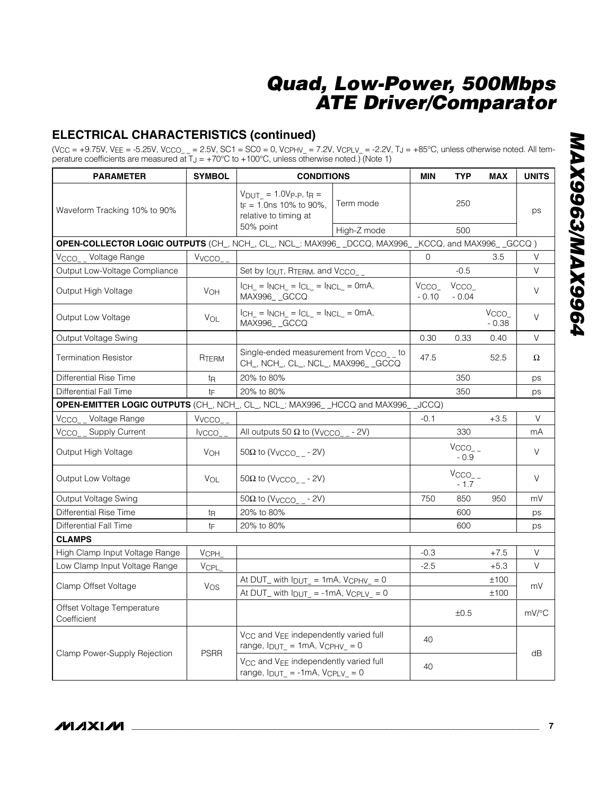## **ELECTRICAL CHARACTERISTICS (continued)**

(V<sub>CC</sub> = +9.75V, V<sub>EE</sub> = -5.25V, V<sub>CCO\_ \_</sub> = 2.5V, SC1 = SC0 = 0, V<sub>CPHV\_</sub> = 7.2V, V<sub>CPLV\_</sub> = -2.2V, T<sub>J</sub> = +85°C, unless otherwise noted. All temperature coefficients are measured at  $T_J = +70^{\circ}C$  to  $+100^{\circ}C$ , unless otherwise noted.) (Note 1)

| <b>PARAMETER</b>                                                                                     | <b>SYMBOL</b>   | <b>CONDITIONS</b>                                                                                                    |             | <b>MIN</b>                  | <b>TYP</b>                    | <b>MAX</b>                  | <b>UNITS</b>        |
|------------------------------------------------------------------------------------------------------|-----------------|----------------------------------------------------------------------------------------------------------------------|-------------|-----------------------------|-------------------------------|-----------------------------|---------------------|
| Waveform Tracking 10% to 90%                                                                         |                 | $V_{DUT}$ = 1.0Vp-p, t <sub>R</sub> =<br>$t_F = 1.0$ ns 10% to 90%.<br>relative to timing at<br>50% point            | Term mode   |                             | 250                           |                             | ps                  |
| OPEN-COLLECTOR LOGIC OUTPUTS (CH_, NCH_, CL_, NCL_: MAX996_ _DCCQ, MAX996_ _KCCQ, and MAX996_ _GCCQ) |                 |                                                                                                                      | High-Z mode |                             | 500                           |                             |                     |
| V <sub>CCO_</sub> Voltage Range                                                                      | Vvcco_          |                                                                                                                      |             | $\Omega$                    |                               | 3.5                         | V                   |
| Output Low-Voltage Compliance                                                                        |                 | Set by IOUT, RTERM, and VCCO                                                                                         |             |                             | $-0.5$                        |                             | V                   |
| Output High Voltage                                                                                  | VOH             | $ICH_{-} = INCH_{-} = ICL_{-} = INCL_{-} = OmA,$<br>MAX996_GCCQ                                                      |             | V <sub>CCO</sub><br>$-0.10$ | V <sub>CCO</sub><br>$-0.04$   |                             | V                   |
| Output Low Voltage                                                                                   | VOL             | $ICH_{-} = INCH_{-} = ICL_{-} = INCL_{-} = OmA,$<br>MAX996_GCCQ                                                      |             |                             |                               | V <sub>CCO</sub><br>$-0.38$ | $\vee$              |
| Output Voltage Swing                                                                                 |                 |                                                                                                                      |             | 0.30                        | 0.33                          | 0.40                        | V                   |
| <b>Termination Resistor</b>                                                                          | RTERM           | Single-ended measurement from V <sub>CCO__</sub> to<br>CH_, NCH_, CL_, NCL_, MAX996_CGCCQ                            |             | 47.5                        |                               | 52.5                        | Ω                   |
| Differential Rise Time                                                                               | t <sub>R</sub>  | 20% to 80%                                                                                                           |             |                             | 350                           |                             | ps                  |
| Differential Fall Time                                                                               | $t_{F}$         | 20% to 80%                                                                                                           |             |                             | 350                           |                             | ps                  |
| OPEN-EMITTER LOGIC OUTPUTS (CH_, NCH_, CL_, NCL_: MAX996_HCCQ and MAX996_                            |                 |                                                                                                                      |             | JCCQ)                       |                               |                             |                     |
| V <sub>CCO</sub> Voltage Range                                                                       | Vvcco           |                                                                                                                      |             | $-0.1$                      |                               | $+3.5$                      | V                   |
| <b>Supply Current</b><br>Vcco                                                                        | <b>IVCCO</b>    | All outputs 50 $\Omega$ to (Vvcco_ - - 2V)                                                                           |             |                             | 330                           |                             | mA                  |
| Output High Voltage                                                                                  | V <sub>OH</sub> | $50\Omega$ to (Vvcco_ - 2V)                                                                                          |             |                             | $VCCO$ <sub>-</sub><br>$-0.9$ |                             | V                   |
| Output Low Voltage                                                                                   | <b>VOL</b>      | $50\Omega$ to (Vycco - 2V)                                                                                           |             |                             | $VCCO$ <sub>-</sub><br>$-1.7$ |                             | $\vee$              |
| Output Voltage Swing                                                                                 |                 | $50\Omega$ to (Vvcco - 2V)                                                                                           |             | 750                         | 850                           | 950                         | mV                  |
| Differential Rise Time                                                                               | t <sub>R</sub>  | 20% to 80%                                                                                                           |             |                             | 600                           |                             | ps                  |
| Differential Fall Time                                                                               | tF              | 20% to 80%                                                                                                           |             |                             | 600                           |                             | ps                  |
| <b>CLAMPS</b>                                                                                        |                 |                                                                                                                      |             |                             |                               |                             |                     |
| High Clamp Input Voltage Range                                                                       | <b>VCPH</b>     |                                                                                                                      |             | $-0.3$                      |                               | $+7.5$                      | V                   |
| Low Clamp Input Voltage Range                                                                        | VCPL            |                                                                                                                      |             | $-2.5$                      |                               | $+5.3$                      | V                   |
| Clamp Offset Voltage                                                                                 | Vos             | At DUT_ with $I_{\text{DUT}} = 1 \text{mA}$ , $V_{\text{CPHV}} = 0$<br>At DUT_ with $I_{DUT}$ = -1mA, $V_{CPLV}$ = 0 |             |                             |                               | ±100<br>±100                | mV                  |
| Offset Voltage Temperature<br>Coefficient                                                            |                 |                                                                                                                      |             |                             | ±0.5                          |                             | $mV$ <sup>o</sup> C |
|                                                                                                      |                 | V <sub>CC</sub> and V <sub>EE</sub> independently varied full<br>range, $I_{DUT}$ = 1mA, $V_{CPHV}$ = 0              |             | 40                          |                               |                             | dB                  |
| Clamp Power-Supply Rejection                                                                         | <b>PSRR</b>     | V <sub>CC</sub> and V <sub>EE</sub> independently varied full<br>range, $I_{DUT}$ = -1mA, $V_{CPLV}$ = 0             |             | 40                          |                               |                             |                     |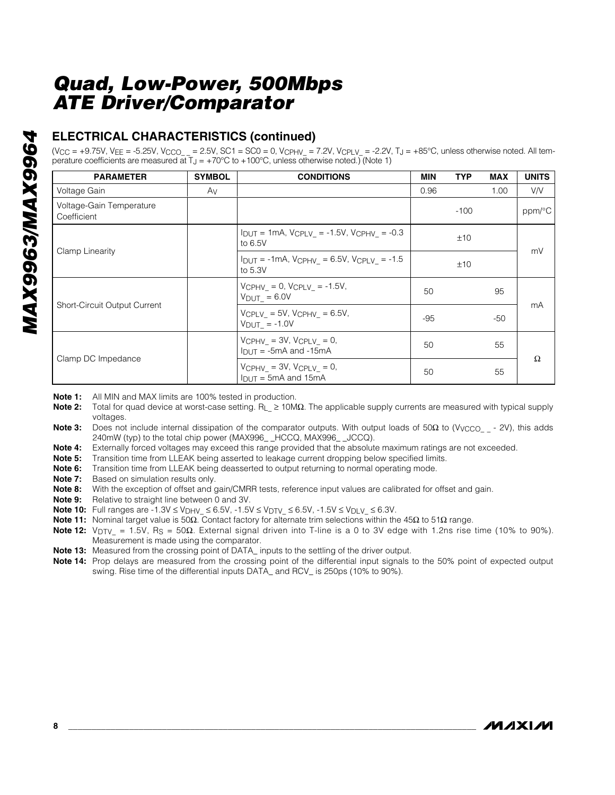# **MAX9963/MAX9964** *MAX9963/MAX9964*

#### **ELECTRICAL CHARACTERISTICS (continued)**

 $(V_{CC} = +9.75V, V_{FE} = -5.25V, V_{CCO} = 2.5V, SC1 = SC0 = 0, V_{CPHV} = 7.2V, V_{CPLV} = -2.2V, T_J = +85°C$ , unless otherwise noted. All temperature coefficients are measured at  $T_J = +70^{\circ}$ C to  $+100^{\circ}$ C, unless otherwise noted.) (Note 1)

| <b>PARAMETER</b>                        | <b>SYMBOL</b> | <b>CONDITIONS</b>                                                                   | <b>MIN</b> | <b>TYP</b> | <b>MAX</b> | <b>UNITS</b>         |
|-----------------------------------------|---------------|-------------------------------------------------------------------------------------|------------|------------|------------|----------------------|
| Voltage Gain                            | Av            |                                                                                     | 0.96       |            | 1.00       | <b>VN</b>            |
| Voltage-Gain Temperature<br>Coefficient |               |                                                                                     |            | $-100$     |            | $ppm$ <sup>o</sup> C |
| Clamp Linearity                         |               | $I_{DUT}$ = 1mA, $V_{CPLV}$ = -1.5V, $V_{CPHV}$ = -0.3<br>to 6.5V                   |            | ±10        |            |                      |
|                                         |               | $I_{DUT} = -1mA$ , $V_{CPHV} = 6.5V$ , $V_{CPLV} = -1.5$<br>to 5.3V                 |            | ±10        |            | mV                   |
| <b>Short-Circuit Output Current</b>     |               | $V$ CPHV = 0, $V$ CPLV = -1.5V,<br>$V_{DUT} = 6.0V$                                 | 50         |            | 95         |                      |
|                                         |               | $V$ CPLV = 5V, $V$ CPHV = 6.5V,<br>$V_{DUT_{-}}$ = -1.0V                            | $-95$      |            | -50        | mA                   |
|                                         |               | $V$ CPHV = 3V, $V$ CPLV = 0,<br>$I_{\text{DUT}} = -5 \text{mA}$ and $-15 \text{mA}$ | 50         |            | 55         |                      |
| Clamp DC Impedance                      |               | $V$ CPHV = 3V, $V$ CPLV = 0,<br>$ln(T = 5mA$ and 15mA                               | 50         |            | 55         | Ω                    |

**Note 1:** All MIN and MAX limits are 100% tested in production.

- **Note 2:** Total for quad device at worst-case setting. R<sub>L</sub> ≥ 10MΩ. The applicable supply currents are measured with typical supply voltages.
- **Note 3:** Does not include internal dissipation of the comparator outputs. With output loads of 50Ω to (V<sub>VCCO</sub> 2V), this adds 240mW (typ) to the total chip power (MAX996 HCCQ, MAX996 JCCQ).
- **Note 4:** Externally forced voltages may exceed this range provided that the absolute maximum ratings are not exceeded.
- **Note 5:** Transition time from LLEAK being asserted to leakage current dropping below specified limits.
- **Note 6:** Transition time from LLEAK being deasserted to output returning to normal operating mode.
- **Note 7:** Based on simulation results only.
- **Note 8:** With the exception of offset and gain/CMRR tests, reference input values are calibrated for offset and gain.
- **Note 9:** Relative to straight line between 0 and 3V.
- **Note 10:** Full ranges are -1.3V ≤ V<sub>DHV</sub> ≤ 6.5V, -1.5V ≤ V<sub>DTV</sub> ≤ 6.5V, -1.5V ≤ V<sub>DLV</sub> ≤ 6.3V.
- **Note 11:** Nominal target value is 50Ω. Contact factory for alternate trim selections within the 45Ω to 51Ω range.
- **Note 12:** VDTV\_ = 1.5V, RS = 50Ω. External signal driven into T-line is a 0 to 3V edge with 1.2ns rise time (10% to 90%). Measurement is made using the comparator.
- **Note 13:** Measured from the crossing point of DATA\_ inputs to the settling of the driver output.
- **Note 14:** Prop delays are measured from the crossing point of the differential input signals to the 50% point of expected output swing. Rise time of the differential inputs DATA\_ and RCV\_ is 250ps (10% to 90%).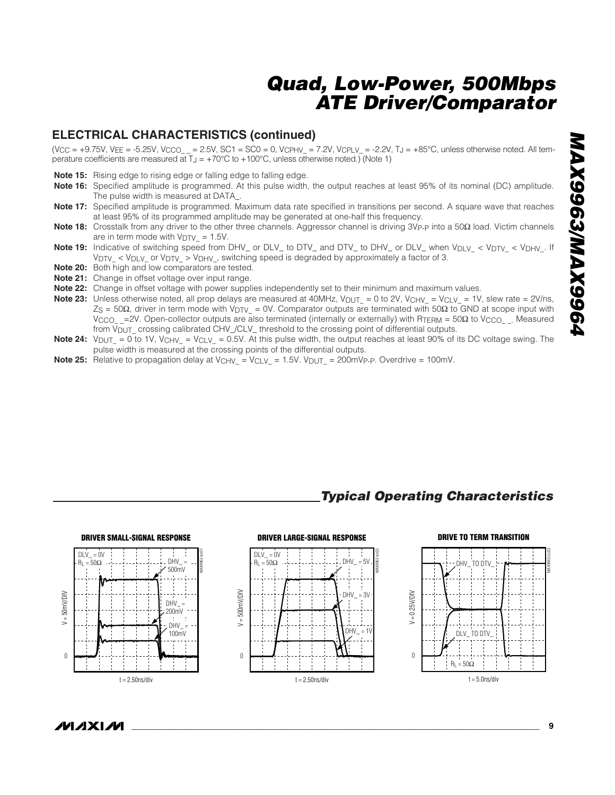#### **ELECTRICAL CHARACTERISTICS (continued)**

 $(V_{CC} = +9.75V, V_{EE} = -5.25V, V_{CCO} = 2.5V, SC1 = SC0 = 0, V_{CPHV} = 7.2V, V_{CPLV} = -2.2V, T_J = +85°C,$  unless otherwise noted. All temperature coefficients are measured at  $T_J = +70^{\circ}C$  to  $+100^{\circ}C$ , unless otherwise noted.) (Note 1)

- **Note 15:** Rising edge to rising edge or falling edge to falling edge.
- **Note 16:** Specified amplitude is programmed. At this pulse width, the output reaches at least 95% of its nominal (DC) amplitude. The pulse width is measured at DATA\_.
- **Note 17:** Specified amplitude is programmed. Maximum data rate specified in transitions per second. A square wave that reaches at least 95% of its programmed amplitude may be generated at one-half this frequency.
- Note 18: Crosstalk from any driver to the other three channels. Aggressor channel is driving 3V<sub>P-P</sub> into a 50Ω load. Victim channels are in term mode with  $V_{\text{DTV}_-} = 1.5V$ .
- **Note 19:** Indicative of switching speed from DHV\_ or DLV\_ to DTV\_ and DTV\_ to DHV\_ or DLV\_ when V<sub>DLV\_</sub> < V<sub>DTV\_</sub> < V<sub>DHV\_</sub>. If  $V_{\text{DTV}}$  < V<sub>DLV</sub> or V<sub>DTV</sub> > V<sub>DHV</sub>, switching speed is degraded by approximately a factor of 3.
- **Note 20:** Both high and low comparators are tested.
- **Note 21:** Change in offset voltage over input range.
- **Note 22:** Change in offset voltage with power supplies independently set to their minimum and maximum values.
- **Note 23:** Unless otherwise noted, all prop delays are measured at 40MHz, V<sub>DUT\_</sub> = 0 to 2V, V<sub>CHV\_</sub> = V<sub>CLV\_</sub> = 1V, slew rate = 2V/ns, ZS = 50Ω, driver in term mode with VDTV\_ = 0V. Comparator outputs are terminated with 50Ω to GND at scope input with V<sub>CCO\_</sub> = 2V. Open-collector outputs are also terminated (internally or externally) with R<sub>TERM</sub> = 50Ω to V<sub>CCO</sub>. Measured from V<sub>DUT</sub> crossing calibrated CHV\_/CLV\_ threshold to the crossing point of differential outputs.
- **Note 24:**  $V_{DUT} = 0$  to 1V,  $V_{CHV} = V_{CLV} = 0.5V$ . At this pulse width, the output reaches at least 90% of its DC voltage swing. The pulse width is measured at the crossing points of the differential outputs.
- **Note 25:** Relative to propagation delay at V<sub>CHV\_</sub> = V<sub>CLV\_</sub> = 1.5V. V<sub>DUT\_</sub> = 200mV<sub>P-P</sub>. Overdrive = 100mV.

#### *Typical Operating Characteristics*



#### **MAXIM**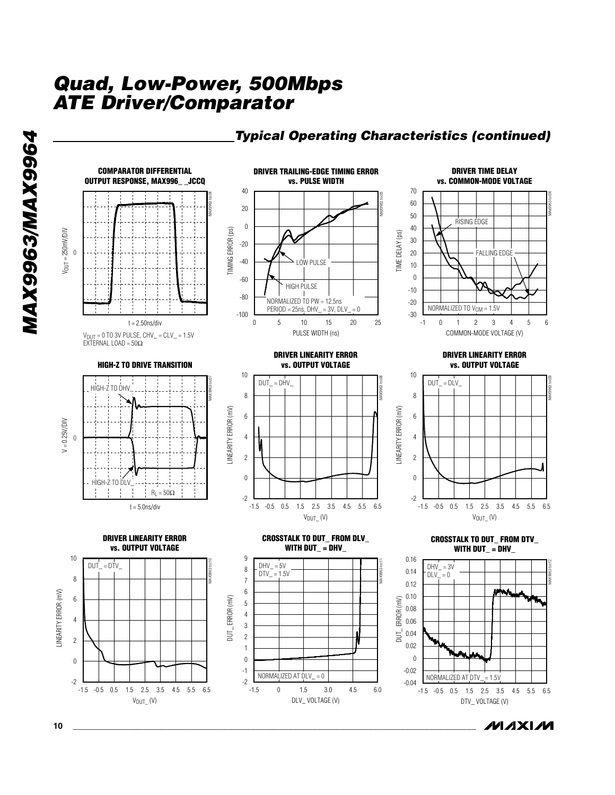



*MAX9963/MAX9964*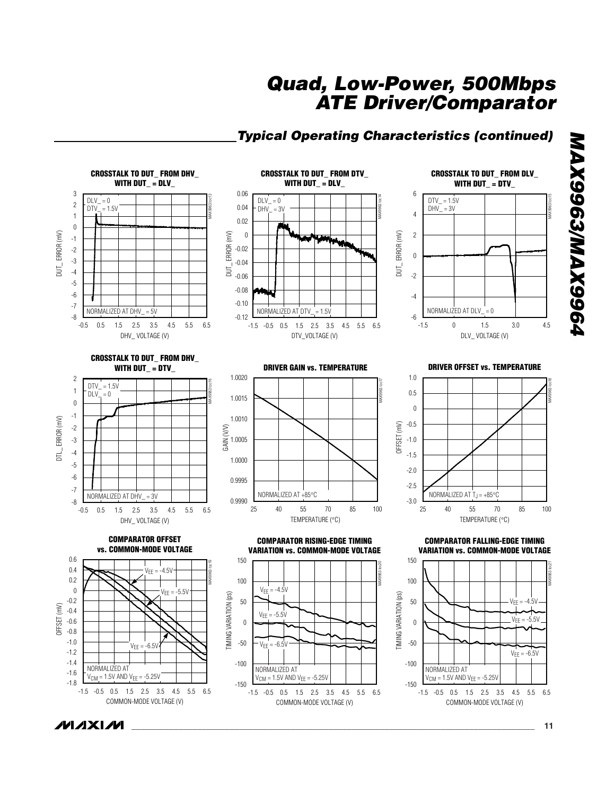#### *Typical Operating Characteristics (continued)*

**CROSSTALK TO DUT\_ FROM DHV\_ CROSSTALK TO DUT\_ FROM DTV\_ CROSSTALK TO DUT\_ FROM DLV\_ WITH DUT\_ = DLV\_ WITH DUT\_ = DLV\_ WITH DUT\_ = DTV\_** 3 0.06 6 MAX9963 toc13 MAX9963 toc14  $DTV = 1.5V$ MAX9963 toc15  $DLV = 0$  $DLV = 0$ 2 0.04  $DTV = 1.5V$  $DHV = 3V$  $DHV_$  = 3V 4 1 0.02  $\boldsymbol{0}$ DUT\_ERROR (mV) DUT\_ ERROR (mV) DUT\_ ERROR (mV) 0 ERROR (mV) DUT\_ ERROR (mV) 2 ERROR (mV) -1 -2 -0.02  $\boldsymbol{0}$ -3 -0.04  $\overline{5}$ **SUT** -4 -0.06 -2 -5 -0.08 -6 -4 -0.10 -7 NORMALIZED AT DHV\_ = 5V NORMALIZED AT DTV =  $1.5V$ NORMALIZED AT DLV  $= 0$ -8  $-0.12$   $-1.5$ -6 0 1.5 3.0 0.5 1.5 2.5 3.5 4.5 5.5 -0.5 6.5 -0.5 0.5 1.5 2.5 3.5 4.5 5.5 -1.5 6.5 -1.5 0 1.5 3.0 4.5 DHV\_ VOLTAGE (V) DLV\_ VOLTAGE (V) DTV\_VOLTAGE (V) **CROSSTALK TO DUT\_ FROM DHV\_ WITH DUT\_ = DTV\_ DRIVER GAIN vs. TEMPERATURE DRIVER OFFSET vs. TEMPERATURE** 1.0020 2 1.0 MAX9963 toc17 MAX9963 toc18 MAX9963 toc16  $DTV = 1.5V$ 1 0.5  $DLV = 0$ 1.0015  $\boldsymbol{0}$ 0 -1 1.0010 ERROR (mV) DTL\_ ERROR (mV) -0.5 OFFSET (mV) -2 GAIN (V/V) -3 1.0005 -1.0  $\overline{5}$ -4 -1.5 1.0000 -5  $-2.0$ -6 0.9995 -2.5 -7 NORMALIZED AT  $T_J = +85^{\circ}$ C NORMALIZED AT +85°C NORMALIZED AT DHV\_ = 3V -8 0.9990 -3.0 40 55 70 85 0.5 1.5 2.5 3.5 4.5 5.5 -0.5 0.5 1.5 2.5 3.5 4.5 5.5 6.5 25 40 55 70 85 100 25 40 55 70 85 100 40 55 70 85 TEMPERATURE (°C) TEMPERATURE (°C) DHV\_ VOLTAGE (V) **COMPARATOR OFFSET COMPARATOR RISING-EDGE TIMING COMPARATOR FALLING-EDGE TIMING vs. COMMON-MODE VOLTAGE VARIATION vs. COMMON-MODE VOLTAGEVARIATION vs. COMMON-MODE VOLTAGE**0.6 150 150 MAX9963 toc19 MAX9963 toc20 MAX9963 toc21 0.4  $V_{FF} = -4.5V$ 0.2 100 100  $\boldsymbol{0}$  $V_{EE} = -4.5V$  $V_{EE} = -5.5V$ TIMING VARIATION (ps) TIMING VARIATION (ps) TIMING VARIATION (ps) TIMING VARIATION (ps) -0.2 50 50  $^{\prime}$ FF OFFSET (mV) I -0.4  $V_{EE} = -5.5V$  $V_{EE} = -5.5V$ -0.6 0 0 -0.8 -1.0 -50  $VFF = -6.5V$ -50  $V_{EE} = -6.5$ -1.2  $V_{FF} = -6.5V$ -1.4 -100 -100 NORMALIZED AT NORMALIZED AT NORMALIZED AT -1.6  $V_{CM} = 1.5V$  AND  $V_{EE} = -5.25V$  $V_{\text{CM}} = 1.5V \text{ AND } V_{\text{EE}} = -5.25V$  $V_{\text{CM}} = 1.5V \text{ AND } V_{\text{EE}} = -5.25V$ -1.8 -150 -150 -0.5 0.5 1.5 2.5 3.5 4.5 5.5 6.5 -1.5 -0.5 0.5 1.5 2.5 3.5 4.5 5.5 -1.5 6.5 -0.5 0.5 1.5 2.5 3.5 4.5 5.5 -1.5 6.5 COMMON-MODE VOLTAGE (V) COMMON-MODE VOLTAGE (V) COMMON-MODE VOLTAGE (V) **MAXIM** *\_\_\_\_\_\_\_\_\_\_\_\_\_\_\_\_\_\_\_\_\_\_\_\_\_\_\_\_\_\_\_\_\_\_\_\_\_\_\_\_\_\_\_\_\_\_\_\_\_\_\_\_\_\_\_\_\_\_\_\_\_\_\_\_\_\_\_\_\_\_\_\_\_\_\_\_\_\_\_\_\_\_\_\_\_\_* **11**

*MAX9963/MAX9964*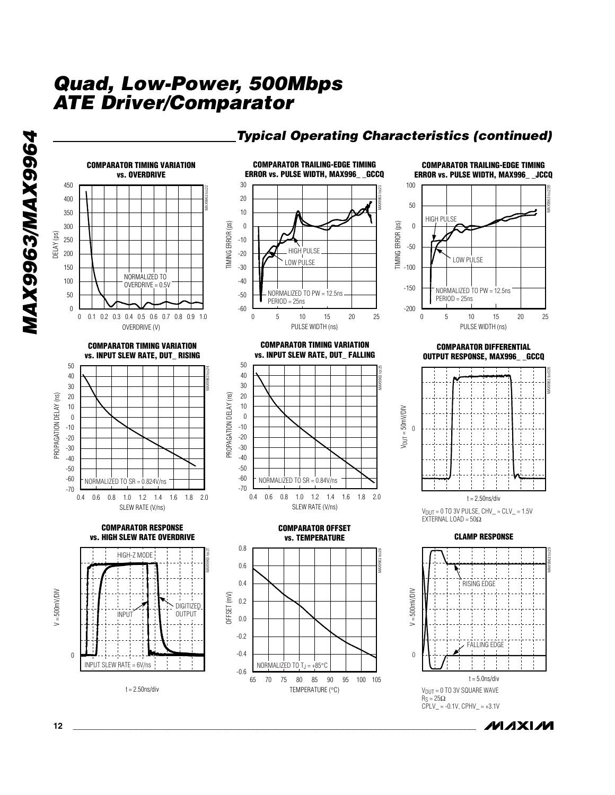

#### *Typical Operating Characteristics (continued)*

**MAXIM** 

*MAX9963/MAX9964*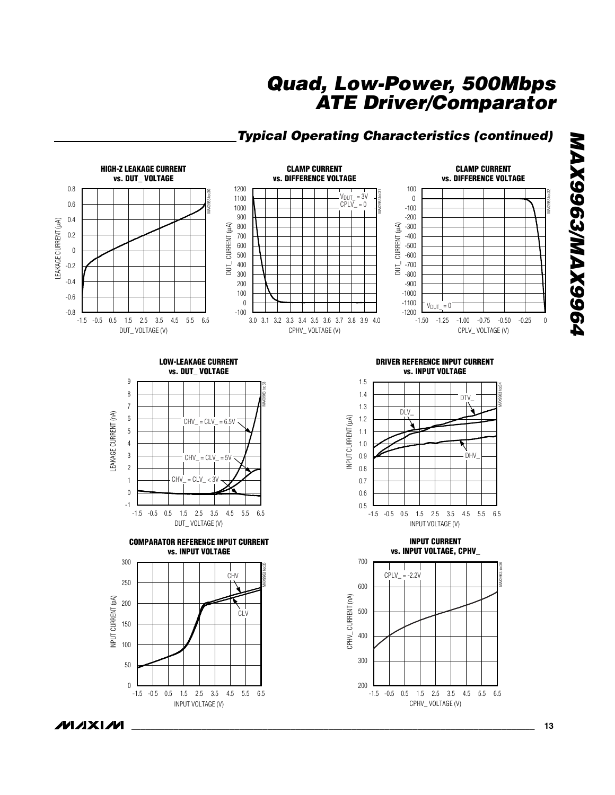## *Typical Operating Characteristics (continued)*



*MAX9963/MAX9964* **P966XVW/E966XVM** 

**MAXM**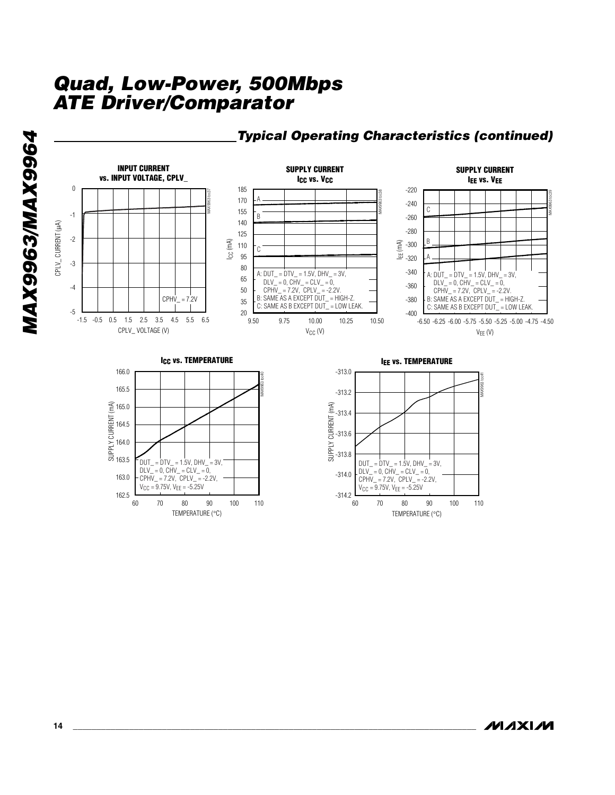TEMPERATURE (°C)

70 80 90 100

60 70 80 90 100 110



TEMPERATURE (°C)

70 80 90 100

60 70 80 90 100 110

*MAX9963/MAX9964*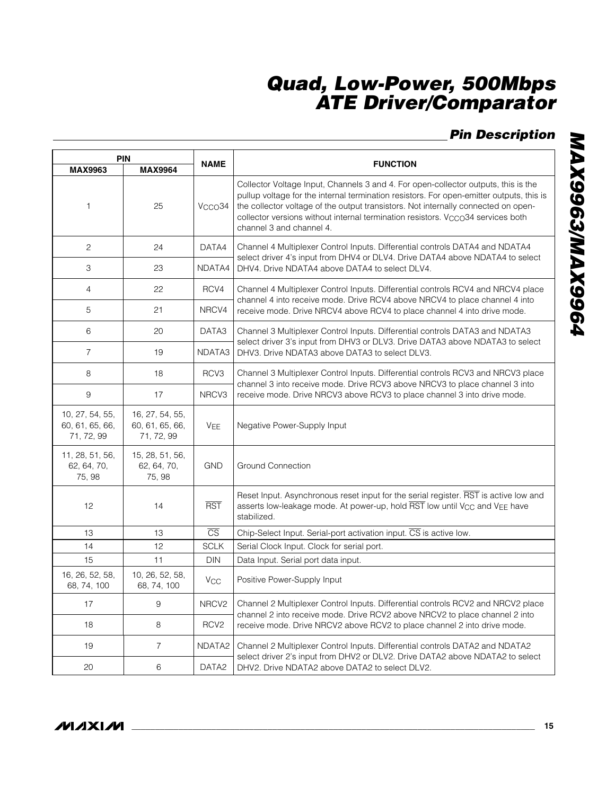## *Pin Description*

| <b>PIN</b>                                       |                                                  |                        |                                                                                                                                                                                                                                                                                                                                                                                                  |  |  |
|--------------------------------------------------|--------------------------------------------------|------------------------|--------------------------------------------------------------------------------------------------------------------------------------------------------------------------------------------------------------------------------------------------------------------------------------------------------------------------------------------------------------------------------------------------|--|--|
| <b>MAX9963</b>                                   | <b>MAX9964</b>                                   | <b>NAME</b>            | <b>FUNCTION</b>                                                                                                                                                                                                                                                                                                                                                                                  |  |  |
| $\mathbf{1}$                                     | 25                                               | V <sub>CCO</sub> 34    | Collector Voltage Input, Channels 3 and 4. For open-collector outputs, this is the<br>pullup voltage for the internal termination resistors. For open-emitter outputs, this is<br>the collector voltage of the output transistors. Not internally connected on open-<br>collector versions without internal termination resistors. V <sub>CCO</sub> 34 services both<br>channel 3 and channel 4. |  |  |
| $\mathbf{2}$                                     | 24                                               | DATA4                  | Channel 4 Multiplexer Control Inputs. Differential controls DATA4 and NDATA4<br>select driver 4's input from DHV4 or DLV4. Drive DATA4 above NDATA4 to select                                                                                                                                                                                                                                    |  |  |
| 3                                                | 23                                               | NDATA4                 | DHV4. Drive NDATA4 above DATA4 to select DLV4.                                                                                                                                                                                                                                                                                                                                                   |  |  |
| 4                                                | 22                                               | RCV4                   | Channel 4 Multiplexer Control Inputs. Differential controls RCV4 and NRCV4 place<br>channel 4 into receive mode. Drive RCV4 above NRCV4 to place channel 4 into                                                                                                                                                                                                                                  |  |  |
| 5                                                | 21                                               | NRCV4                  | receive mode. Drive NRCV4 above RCV4 to place channel 4 into drive mode.                                                                                                                                                                                                                                                                                                                         |  |  |
| 6                                                | 20                                               | DATA3                  | Channel 3 Multiplexer Control Inputs. Differential controls DATA3 and NDATA3<br>select driver 3's input from DHV3 or DLV3. Drive DATA3 above NDATA3 to select                                                                                                                                                                                                                                    |  |  |
| $\overline{7}$                                   | 19                                               | NDATA3                 | DHV3. Drive NDATA3 above DATA3 to select DLV3.                                                                                                                                                                                                                                                                                                                                                   |  |  |
| 8                                                | 18                                               | RCV3                   | Channel 3 Multiplexer Control Inputs. Differential controls RCV3 and NRCV3 place<br>channel 3 into receive mode. Drive RCV3 above NRCV3 to place channel 3 into                                                                                                                                                                                                                                  |  |  |
| $9\,$                                            | 17                                               | NRCV3                  | receive mode. Drive NRCV3 above RCV3 to place channel 3 into drive mode.                                                                                                                                                                                                                                                                                                                         |  |  |
| 10, 27, 54, 55,<br>60, 61, 65, 66,<br>71, 72, 99 | 16, 27, 54, 55,<br>60, 61, 65, 66,<br>71, 72, 99 | V <sub>EE</sub>        | Negative Power-Supply Input                                                                                                                                                                                                                                                                                                                                                                      |  |  |
| 11, 28, 51, 56,<br>62, 64, 70,<br>75, 98         | 15, 28, 51, 56,<br>62, 64, 70,<br>75, 98         | <b>GND</b>             | <b>Ground Connection</b>                                                                                                                                                                                                                                                                                                                                                                         |  |  |
| 12                                               | 14                                               | <b>RST</b>             | Reset Input. Asynchronous reset input for the serial register. RST is active low and<br>asserts low-leakage mode. At power-up, hold RST low until V <sub>CC</sub> and VEE have<br>stabilized.                                                                                                                                                                                                    |  |  |
| 13                                               | 13                                               | $\overline{\text{CS}}$ | Chip-Select Input. Serial-port activation input. CS is active low.                                                                                                                                                                                                                                                                                                                               |  |  |
| 14                                               | 12                                               | <b>SCLK</b>            | Serial Clock Input. Clock for serial port.                                                                                                                                                                                                                                                                                                                                                       |  |  |
| 15                                               | 11                                               | <b>DIN</b>             | Data Input. Serial port data input.                                                                                                                                                                                                                                                                                                                                                              |  |  |
| 16, 26, 52, 58,<br>68, 74, 100                   | 10, 26, 52, 58,<br>68, 74, 100                   | <b>V<sub>CC</sub></b>  | Positive Power-Supply Input                                                                                                                                                                                                                                                                                                                                                                      |  |  |
| 17                                               | $\,9$                                            | NRCV2                  | Channel 2 Multiplexer Control Inputs. Differential controls RCV2 and NRCV2 place<br>channel 2 into receive mode. Drive RCV2 above NRCV2 to place channel 2 into                                                                                                                                                                                                                                  |  |  |
| 18                                               | 8                                                | RCV <sub>2</sub>       | receive mode. Drive NRCV2 above RCV2 to place channel 2 into drive mode.                                                                                                                                                                                                                                                                                                                         |  |  |
| 19                                               | $\overline{7}$                                   | NDATA2                 | Channel 2 Multiplexer Control Inputs. Differential controls DATA2 and NDATA2<br>select driver 2's input from DHV2 or DLV2. Drive DATA2 above NDATA2 to select                                                                                                                                                                                                                                    |  |  |
| 20                                               | 6                                                | DATA <sub>2</sub>      | DHV2. Drive NDATA2 above DATA2 to select DLV2.                                                                                                                                                                                                                                                                                                                                                   |  |  |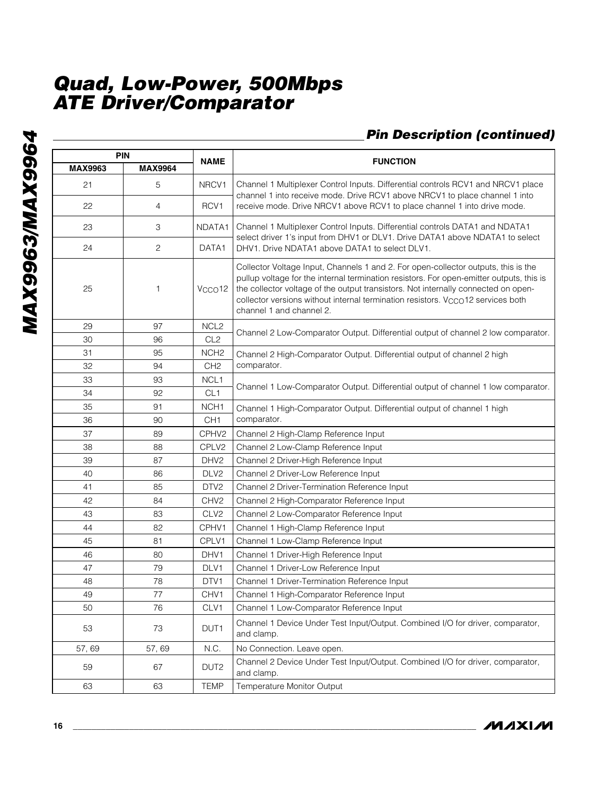## *Pin Description (continued)*

|                | <b>PIN</b>     |                     |                                                                                                                                                                                                                                                                                                                                                                                                  |  |  |
|----------------|----------------|---------------------|--------------------------------------------------------------------------------------------------------------------------------------------------------------------------------------------------------------------------------------------------------------------------------------------------------------------------------------------------------------------------------------------------|--|--|
| <b>MAX9963</b> | <b>MAX9964</b> | <b>NAME</b>         | <b>FUNCTION</b>                                                                                                                                                                                                                                                                                                                                                                                  |  |  |
| 21             | 5              | NRCV1               | Channel 1 Multiplexer Control Inputs. Differential controls RCV1 and NRCV1 place<br>channel 1 into receive mode. Drive RCV1 above NRCV1 to place channel 1 into                                                                                                                                                                                                                                  |  |  |
| 22             | 4              | RCV1                | receive mode. Drive NRCV1 above RCV1 to place channel 1 into drive mode.                                                                                                                                                                                                                                                                                                                         |  |  |
| 23             | 3              | NDATA1              | Channel 1 Multiplexer Control Inputs. Differential controls DATA1 and NDATA1<br>select driver 1's input from DHV1 or DLV1. Drive DATA1 above NDATA1 to select                                                                                                                                                                                                                                    |  |  |
| 24             | $\mathbf{2}$   | DATA1               | DHV1. Drive NDATA1 above DATA1 to select DLV1.                                                                                                                                                                                                                                                                                                                                                   |  |  |
| 25             | 1              | V <sub>CCO</sub> 12 | Collector Voltage Input, Channels 1 and 2. For open-collector outputs, this is the<br>pullup voltage for the internal termination resistors. For open-emitter outputs, this is<br>the collector voltage of the output transistors. Not internally connected on open-<br>collector versions without internal termination resistors. V <sub>CCO</sub> 12 services both<br>channel 1 and channel 2. |  |  |
| 29             | 97             | NCL <sub>2</sub>    |                                                                                                                                                                                                                                                                                                                                                                                                  |  |  |
| 30             | 96             | CL <sub>2</sub>     | Channel 2 Low-Comparator Output. Differential output of channel 2 low comparator.                                                                                                                                                                                                                                                                                                                |  |  |
| 31             | 95             | NCH <sub>2</sub>    | Channel 2 High-Comparator Output. Differential output of channel 2 high                                                                                                                                                                                                                                                                                                                          |  |  |
| 32             | 94             | CH <sub>2</sub>     | comparator.                                                                                                                                                                                                                                                                                                                                                                                      |  |  |
| 33             | 93             | NCL1                |                                                                                                                                                                                                                                                                                                                                                                                                  |  |  |
| 34             | 92             | CL <sub>1</sub>     | Channel 1 Low-Comparator Output. Differential output of channel 1 low comparator.                                                                                                                                                                                                                                                                                                                |  |  |
| 35             | 91             | NCH <sub>1</sub>    | Channel 1 High-Comparator Output. Differential output of channel 1 high                                                                                                                                                                                                                                                                                                                          |  |  |
| 36             | 90             | CH <sub>1</sub>     | comparator.                                                                                                                                                                                                                                                                                                                                                                                      |  |  |
| 37             | 89             | CPHV2               | Channel 2 High-Clamp Reference Input                                                                                                                                                                                                                                                                                                                                                             |  |  |
| 38             | 88             | CPLV2               | Channel 2 Low-Clamp Reference Input                                                                                                                                                                                                                                                                                                                                                              |  |  |
| 39             | 87             | DHV <sub>2</sub>    | Channel 2 Driver-High Reference Input                                                                                                                                                                                                                                                                                                                                                            |  |  |
| 40             | 86             | DLV <sub>2</sub>    | Channel 2 Driver-Low Reference Input                                                                                                                                                                                                                                                                                                                                                             |  |  |
| 41             | 85             | DTV2                | Channel 2 Driver-Termination Reference Input                                                                                                                                                                                                                                                                                                                                                     |  |  |
| 42             | 84             | CHV <sub>2</sub>    | Channel 2 High-Comparator Reference Input                                                                                                                                                                                                                                                                                                                                                        |  |  |
| 43             | 83             | CLV <sub>2</sub>    | Channel 2 Low-Comparator Reference Input                                                                                                                                                                                                                                                                                                                                                         |  |  |
| 44             | 82             | CPHV1               | Channel 1 High-Clamp Reference Input                                                                                                                                                                                                                                                                                                                                                             |  |  |
| 45             | 81             | CPLV1               | Channel 1 Low-Clamp Reference Input                                                                                                                                                                                                                                                                                                                                                              |  |  |
| 46             | 80             | DHV1                | Channel 1 Driver-High Reference Input                                                                                                                                                                                                                                                                                                                                                            |  |  |
| 47             | 79             | DLV1                | Channel 1 Driver-Low Reference Input                                                                                                                                                                                                                                                                                                                                                             |  |  |
| 48             | 78             | DTV1                | Channel 1 Driver-Termination Reference Input                                                                                                                                                                                                                                                                                                                                                     |  |  |
| 49             | 77             | CHV1                | Channel 1 High-Comparator Reference Input                                                                                                                                                                                                                                                                                                                                                        |  |  |
| 50             | 76             | CLV1                | Channel 1 Low-Comparator Reference Input                                                                                                                                                                                                                                                                                                                                                         |  |  |
| 53             | 73             | DUT <sub>1</sub>    | Channel 1 Device Under Test Input/Output. Combined I/O for driver, comparator,<br>and clamp.                                                                                                                                                                                                                                                                                                     |  |  |
| 57,69          | 57,69          | N.C.                | No Connection. Leave open.                                                                                                                                                                                                                                                                                                                                                                       |  |  |
| 59             | 67             | DUT <sub>2</sub>    | Channel 2 Device Under Test Input/Output. Combined I/O for driver, comparator,<br>and clamp.                                                                                                                                                                                                                                                                                                     |  |  |
| 63             | 63             | <b>TEMP</b>         | Temperature Monitor Output                                                                                                                                                                                                                                                                                                                                                                       |  |  |

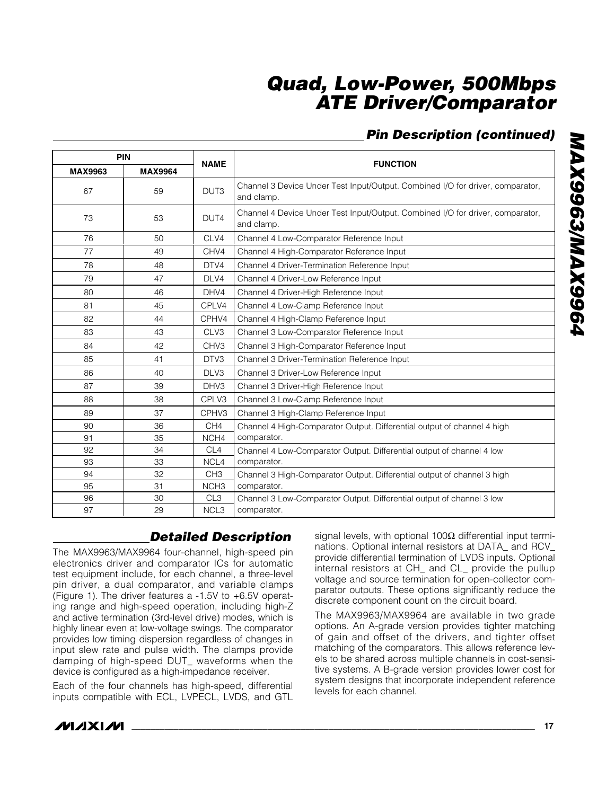## *Pin Description (continued)*

| <b>PIN</b>     |                |                  |                                                                                              |  |  |
|----------------|----------------|------------------|----------------------------------------------------------------------------------------------|--|--|
| <b>MAX9963</b> | <b>MAX9964</b> | <b>NAME</b>      | <b>FUNCTION</b>                                                                              |  |  |
| 67             | 59             | DUT <sub>3</sub> | Channel 3 Device Under Test Input/Output. Combined I/O for driver, comparator,<br>and clamp. |  |  |
| 73             | 53             | DUT4             | Channel 4 Device Under Test Input/Output. Combined I/O for driver, comparator,<br>and clamp. |  |  |
| 76             | 50             | CLV4             | Channel 4 Low-Comparator Reference Input                                                     |  |  |
| 77             | 49             | CHV4             | Channel 4 High-Comparator Reference Input                                                    |  |  |
| 78             | 48             | DTV4             | Channel 4 Driver-Termination Reference Input                                                 |  |  |
| 79             | 47             | DLV4             | Channel 4 Driver-Low Reference Input                                                         |  |  |
| 80             | 46             | DHV4             | Channel 4 Driver-High Reference Input                                                        |  |  |
| 81             | 45             | CPLV4            | Channel 4 Low-Clamp Reference Input                                                          |  |  |
| 82             | 44             | CPHV4            | Channel 4 High-Clamp Reference Input                                                         |  |  |
| 83             | 43             | CLV3             | Channel 3 Low-Comparator Reference Input                                                     |  |  |
| 84             | 42             | CHV <sub>3</sub> | Channel 3 High-Comparator Reference Input                                                    |  |  |
| 85             | 41             | DTV3             | Channel 3 Driver-Termination Reference Input                                                 |  |  |
| 86             | 40             | DLV3             | Channel 3 Driver-Low Reference Input                                                         |  |  |
| 87             | 39             | DHV3             | Channel 3 Driver-High Reference Input                                                        |  |  |
| 88             | 38             | CPLV3            | Channel 3 Low-Clamp Reference Input                                                          |  |  |
| 89             | 37             | CPHV3            | Channel 3 High-Clamp Reference Input                                                         |  |  |
| 90             | 36             | CH <sub>4</sub>  | Channel 4 High-Comparator Output. Differential output of channel 4 high                      |  |  |
| 91             | 35             | NCH <sub>4</sub> | comparator.                                                                                  |  |  |
| 92             | 34             | CL <sub>4</sub>  | Channel 4 Low-Comparator Output. Differential output of channel 4 low                        |  |  |
| 93             | 33             | NCL4             | comparator.                                                                                  |  |  |
| 94             | 32             | CH <sub>3</sub>  | Channel 3 High-Comparator Output. Differential output of channel 3 high                      |  |  |
| 95             | 31             | NCH <sub>3</sub> | comparator.                                                                                  |  |  |
| 96             | 30             | CL <sub>3</sub>  | Channel 3 Low-Comparator Output. Differential output of channel 3 low                        |  |  |
| 97             | 29             | NCL <sub>3</sub> | comparator.                                                                                  |  |  |

## *Detailed Description*

The MAX9963/MAX9964 four-channel, high-speed pin electronics driver and comparator ICs for automatic test equipment include, for each channel, a three-level pin driver, a dual comparator, and variable clamps (Figure 1). The driver features a -1.5V to +6.5V operating range and high-speed operation, including high-Z and active termination (3rd-level drive) modes, which is highly linear even at low-voltage swings. The comparator provides low timing dispersion regardless of changes in input slew rate and pulse width. The clamps provide damping of high-speed DUT\_ waveforms when the device is configured as a high-impedance receiver.

Each of the four channels has high-speed, differential inputs compatible with ECL, LVPECL, LVDS, and GTL

signal levels, with optional 100 $Ω$  differential input terminations. Optional internal resistors at DATA\_ and RCV\_ provide differential termination of LVDS inputs. Optional internal resistors at CH\_ and CL\_ provide the pullup voltage and source termination for open-collector comparator outputs. These options significantly reduce the discrete component count on the circuit board.

The MAX9963/MAX9964 are available in two grade options. An A-grade version provides tighter matching of gain and offset of the drivers, and tighter offset matching of the comparators. This allows reference levels to be shared across multiple channels in cost-sensitive systems. A B-grade version provides lower cost for system designs that incorporate independent reference levels for each channel.

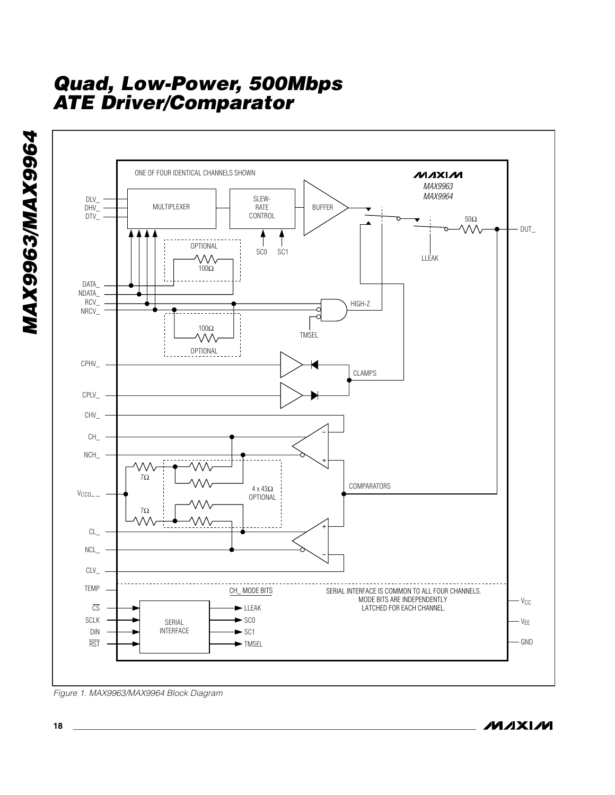

*Figure 1. MAX9963/MAX9964 Block Diagram*

*MAX9963/MAX9964*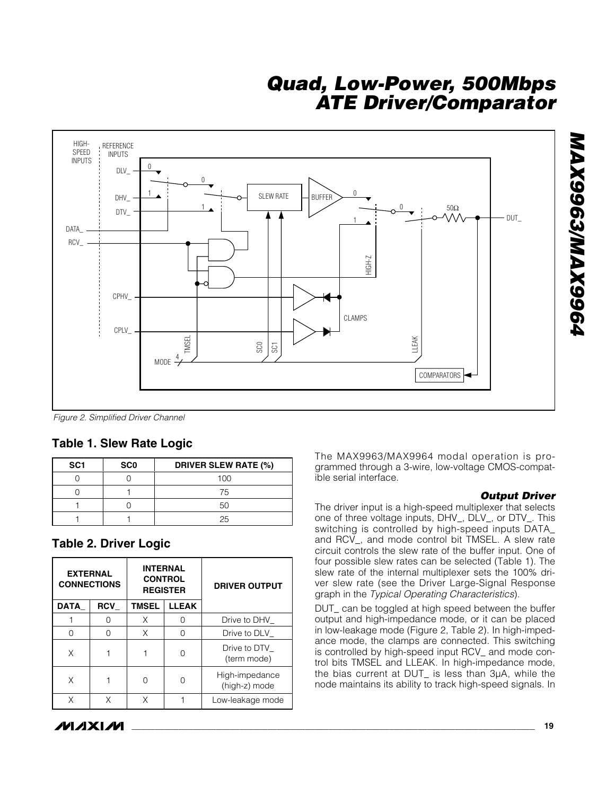

*Figure 2. Simplified Driver Channel*

#### **Table 1. Slew Rate Logic**

| SC <sub>1</sub> | SC <sub>0</sub> | <b>DRIVER SLEW RATE (%)</b> |  |  |
|-----------------|-----------------|-----------------------------|--|--|
|                 |                 | 100                         |  |  |
|                 |                 | 75                          |  |  |
|                 |                 |                             |  |  |
|                 |                 | 25                          |  |  |

#### **Table 2. Driver Logic**

| <b>EXTERNAL</b><br><b>CONNECTIONS</b> |            | <b>INTERNAL</b><br><b>CONTROL</b><br><b>REGISTER</b> |              | <b>DRIVER OUTPUT</b>            |  |
|---------------------------------------|------------|------------------------------------------------------|--------------|---------------------------------|--|
| <b>DATA</b>                           | <b>RCV</b> | TMSEL                                                | <b>LLEAK</b> |                                 |  |
|                                       |            | Χ                                                    |              | Drive to DHV                    |  |
| ∩                                     |            | X                                                    | Ω            | Drive to DLV                    |  |
| Χ                                     |            |                                                      |              | Drive to DTV<br>(term mode)     |  |
| Χ                                     |            | Λ                                                    |              | High-impedance<br>(high-z) mode |  |
| Χ                                     |            | X                                                    |              | Low-leakage mode                |  |

The MAX9963/MAX9964 modal operation is programmed through a 3-wire, low-voltage CMOS-compatible serial interface.

#### *Output Driver*

The driver input is a high-speed multiplexer that selects one of three voltage inputs, DHV\_, DLV\_, or DTV\_. This switching is controlled by high-speed inputs DATA\_ and RCV\_, and mode control bit TMSEL. A slew rate circuit controls the slew rate of the buffer input. One of four possible slew rates can be selected (Table 1). The slew rate of the internal multiplexer sets the 100% driver slew rate (see the Driver Large-Signal Response graph in the *Typical Operating Characteristics*).

DUT\_ can be toggled at high speed between the buffer output and high-impedance mode, or it can be placed in low-leakage mode (Figure 2, Table 2). In high-impedance mode, the clamps are connected. This switching is controlled by high-speed input RCV\_ and mode control bits TMSEL and LLEAK. In high-impedance mode, the bias current at DUT\_ is less than 3µA, while the node maintains its ability to track high-speed signals. In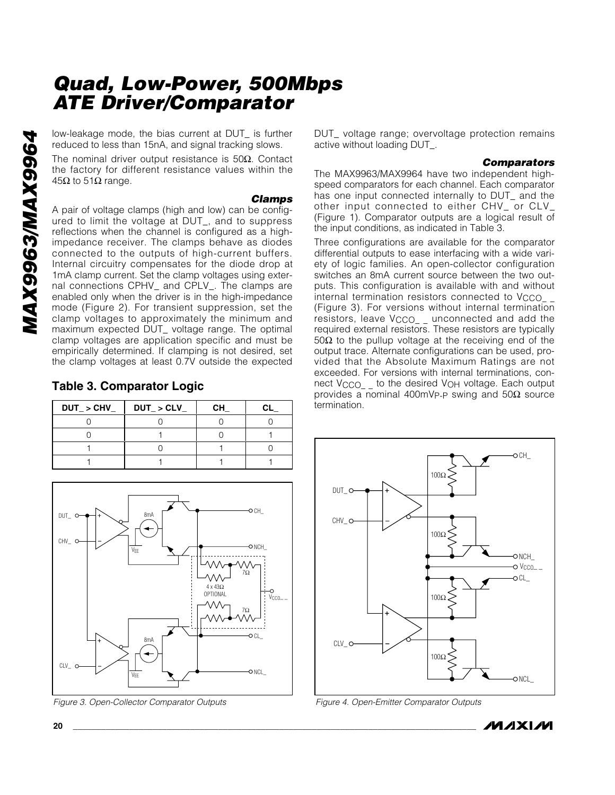low-leakage mode, the bias current at DUT\_ is further reduced to less than 15nA, and signal tracking slows.

The nominal driver output resistance is 50Ω. Contact the factory for different resistance values within the  $45Ω$  to 51 $Ω$  range.

#### *Clamps*

A pair of voltage clamps (high and low) can be configured to limit the voltage at DUT\_, and to suppress reflections when the channel is configured as a highimpedance receiver. The clamps behave as diodes connected to the outputs of high-current buffers. Internal circuitry compensates for the diode drop at 1mA clamp current. Set the clamp voltages using external connections CPHV\_ and CPLV\_. The clamps are enabled only when the driver is in the high-impedance mode (Figure 2). For transient suppression, set the clamp voltages to approximately the minimum and maximum expected DUT\_ voltage range. The optimal clamp voltages are application specific and must be empirically determined. If clamping is not desired, set the clamp voltages at least 0.7V outside the expected

#### **Table 3. Comparator Logic**

| $DUT_{-}$ > CHV $_{-}$ | $DUT_{-} > CLV_{-}$ | <b>CH</b> |  |
|------------------------|---------------------|-----------|--|
|                        |                     |           |  |
|                        |                     |           |  |
|                        |                     |           |  |
|                        |                     |           |  |

DUT\_ CH\_ 8mA CHV\_ NCH\_ VEE VΛΛ 7Ω  $\wedge\wedge\wedge$ 4 x 43Ω OPTIONAL  $\begin{array}{c} \begin{array}{c} \uparrow \\ \downarrow \end{array} & \begin{array}{c} \downarrow \\ \downarrow \end{array} & \begin{array}{c} \downarrow \\ \downarrow \end{array} & \begin{array}{c} \downarrow \\ \downarrow \end{array} & \begin{array}{c} \downarrow \\ \downarrow \end{array} & \begin{array}{c} \downarrow \\ \downarrow \end{array} & \begin{array}{c} \downarrow \\ \downarrow \end{array} & \begin{array}{c} \downarrow \\ \downarrow \end{array} & \begin{array}{c} \downarrow \\ \downarrow \end{array} & \begin{array}{c} \downarrow \\ \downarrow \end{array} & \begin{array$ 7Ω 8mA CL\_  $CIV$   $C$  $ONC$ VEE

*Figure 3. Open-Collector Comparator Outputs*

DUT\_ voltage range; overvoltage protection remains active without loading DUT\_.

#### *Comparators*

The MAX9963/MAX9964 have two independent highspeed comparators for each channel. Each comparator has one input connected internally to DUT\_ and the other input connected to either CHV\_ or CLV\_ (Figure 1). Comparator outputs are a logical result of the input conditions, as indicated in Table 3.

Three configurations are available for the comparator differential outputs to ease interfacing with a wide variety of logic families. An open-collector configuration switches an 8mA current source between the two outputs. This configuration is available with and without internal termination resistors connected to V<sub>CCO\_</sub> (Figure 3). For versions without internal termination resistors, leave V<sub>CCO\_</sub> unconnected and add the required external resistors. These resistors are typically 50Ω to the pullup voltage at the receiving end of the output trace. Alternate configurations can be used, provided that the Absolute Maximum Ratings are not exceeded. For versions with internal terminations, connect V<sub>CCO</sub> to the desired V<sub>OH</sub> voltage. Each output provides a nominal 400mV<sub>P-P</sub> swing and 50Ω source termination.



*Figure 4. Open-Emitter Comparator Outputs*

*MAX9963/MAX9964*

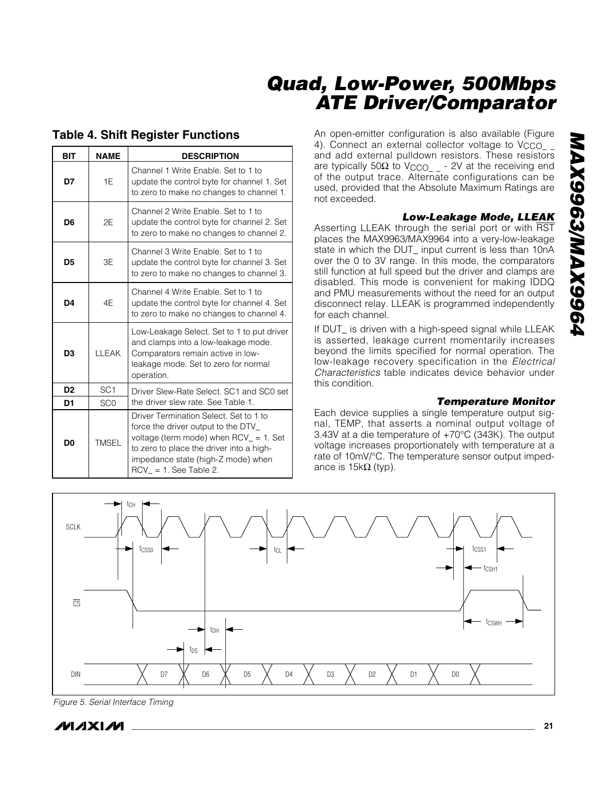#### **Table 4. Shift Register Functions**

| <b>BIT</b>     | <b>NAME</b>     | <b>DESCRIPTION</b>                                                                                                                                                                                                                      |  |  |
|----------------|-----------------|-----------------------------------------------------------------------------------------------------------------------------------------------------------------------------------------------------------------------------------------|--|--|
| D7             | 1F              | Channel 1 Write Enable, Set to 1 to<br>update the control byte for channel 1. Set<br>to zero to make no changes to channel 1.                                                                                                           |  |  |
| D6             | 2F              | Channel 2 Write Enable, Set to 1 to<br>update the control byte for channel 2. Set<br>to zero to make no changes to channel 2.                                                                                                           |  |  |
| D5             | 3E              | Channel 3 Write Enable, Set to 1 to<br>update the control byte for channel 3. Set<br>to zero to make no changes to channel 3.                                                                                                           |  |  |
| D4             | 4E              | Channel 4 Write Enable, Set to 1 to<br>update the control byte for channel 4. Set<br>to zero to make no changes to channel 4.                                                                                                           |  |  |
| D3             | <b>IIFAK</b>    | Low-Leakage Select. Set to 1 to put driver<br>and clamps into a low-leakage mode.<br>Comparators remain active in low-<br>leakage mode. Set to zero for normal<br>operation.                                                            |  |  |
| D <sub>2</sub> | SC <sub>1</sub> | Driver Slew-Rate Select. SC1 and SC0 set                                                                                                                                                                                                |  |  |
| D1             | SC <sub>0</sub> | the driver slew rate. See Table 1.                                                                                                                                                                                                      |  |  |
| D <sub>0</sub> | <b>TMSEL</b>    | Driver Termination Select. Set to 1 to<br>force the driver output to the DTV_<br>voltage (term mode) when $RCV = 1$ . Set<br>to zero to place the driver into a high-<br>impedance state (high-Z mode) when<br>$RCV = 1$ . See Table 2. |  |  |

An open-emitter configuration is also available (Figure 4). Connect an external collector voltage to Vcco\_\_ and add external pulldown resistors. These resistors are typically 50Ω to  $V_{\rm{CCO}_{-}}$  - 2V at the receiving end of the output trace. Alternate configurations can be used, provided that the Absolute Maximum Ratings are not exceeded.

#### *Low-Leakage Mode, LLEAK*

Asserting LLEAK through the serial port or with RST places the MAX9963/MAX9964 into a very-low-leakage state in which the DUT\_ input current is less than 10nA over the 0 to 3V range. In this mode, the comparators still function at full speed but the driver and clamps are disabled. This mode is convenient for making IDDQ and PMU measurements without the need for an output disconnect relay. LLEAK is programmed independently for each channel.

If DUT\_ is driven with a high-speed signal while LLEAK is asserted, leakage current momentarily increases beyond the limits specified for normal operation. The low-leakage recovery specification in the *Electrical Characteristics* table indicates device behavior under this condition.

#### *Temperature Monitor*

Each device supplies a single temperature output signal, TEMP, that asserts a nominal output voltage of 3.43V at a die temperature of +70°C (343K). The output voltage increases proportionately with temperature at a rate of 10mV/°C. The temperature sensor output impedance is  $15kΩ$  (typ).



*Figure 5. Serial Interface Timing*

**MAXM**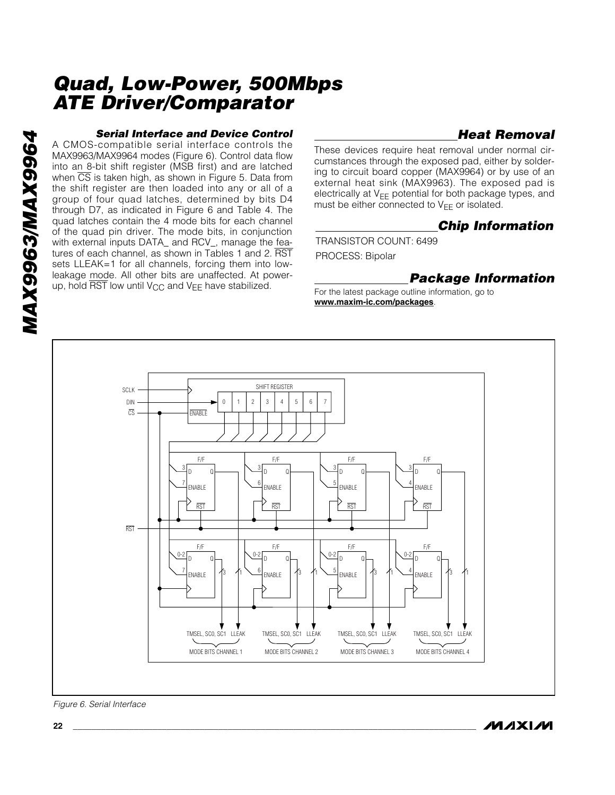#### *Serial Interface and Device Control*

A CMOS-compatible serial interface controls the MAX9963/MAX9964 modes (Figure 6). Control data flow into an 8-bit shift register (MSB first) and are latched when  $\overline{CS}$  is taken high, as shown in Figure 5. Data from the shift register are then loaded into any or all of a group of four quad latches, determined by bits D4 through D7, as indicated in Figure 6 and Table 4. The quad latches contain the 4 mode bits for each channel of the quad pin driver. The mode bits, in conjunction with external inputs DATA\_ and RCV\_, manage the features of each channel, as shown in Tables 1 and 2. RST sets LLEAK=1 for all channels, forcing them into lowleakage mode. All other bits are unaffected. At powerup, hold  $\overline{\text{RST}}$  low until  $V_{\text{CC}}$  and  $V_{\text{EE}}$  have stabilized.

#### *Heat Removal*

These devices require heat removal under normal circumstances through the exposed pad, either by soldering to circuit board copper (MAX9964) or by use of an external heat sink (MAX9963). The exposed pad is electrically at  $V_{EE}$  potential for both package types, and must be either connected to  $V_{FF}$  or isolated.

#### *Chip Information*

TRANSISTOR COUNT: 6499 PROCESS: Bipolar

#### *Package Information*

For the latest package outline information, go to **www.maxim-ic.com/packages**.



*Figure 6. Serial Interface*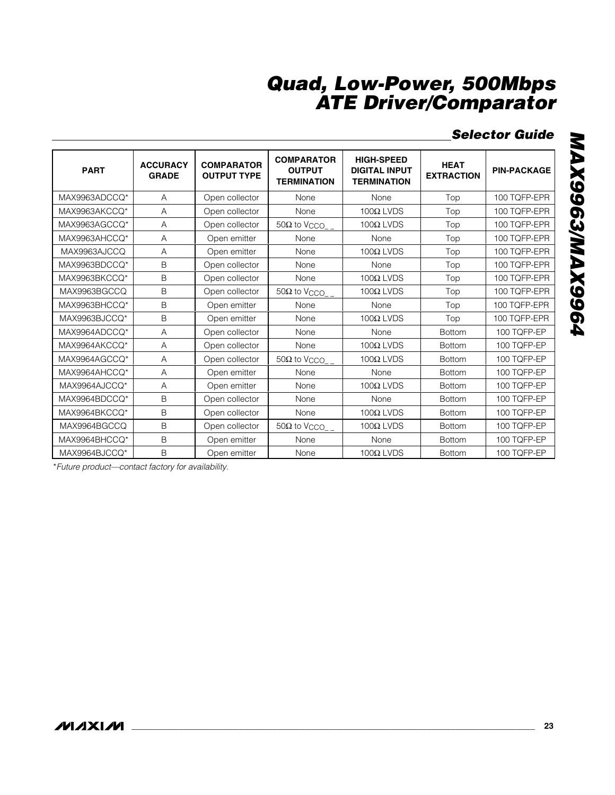## *Selector Guide*

| <b>PART</b>   | <b>ACCURACY</b><br><b>GRADE</b> | <b>COMPARATOR</b><br><b>OUTPUT TYPE</b> | <b>COMPARATOR</b><br><b>OUTPUT</b><br><b>TERMINATION</b> | <b>HIGH-SPEED</b><br><b>DIGITAL INPUT</b><br><b>TERMINATION</b> | <b>HEAT</b><br><b>EXTRACTION</b> | <b>PIN-PACKAGE</b> |
|---------------|---------------------------------|-----------------------------------------|----------------------------------------------------------|-----------------------------------------------------------------|----------------------------------|--------------------|
| MAX9963ADCCO* | A                               | Open collector                          | None                                                     | None                                                            | Top                              | 100 TQFP-EPR       |
| MAX9963AKCCQ* | A                               | Open collector                          | None                                                     | $100Ω$ LVDS                                                     | Top                              | 100 TQFP-EPR       |
| MAX9963AGCCQ* | Α                               | Open collector                          | $50\Omega$ to $V_{\text{CCO}_{-}}$                       | $100Ω$ LVDS                                                     | Top                              | 100 TQFP-EPR       |
| MAX9963AHCCQ* | Α                               | Open emitter                            | None                                                     | None                                                            | Top                              | 100 TQFP-EPR       |
| MAX9963AJCCQ  | Α                               | Open emitter                            | None                                                     | $100Ω$ LVDS                                                     | Top                              | 100 TQFP-EPR       |
| MAX9963BDCCQ* | B                               | Open collector                          | None                                                     | None                                                            | Top                              | 100 TQFP-EPR       |
| MAX9963BKCCQ* | B                               | Open collector                          | None                                                     | $100Ω$ LVDS                                                     | Top                              | 100 TQFP-EPR       |
| MAX9963BGCCQ  | B                               | Open collector                          | $50\Omega$ to $V_{\text{CCO}_{-}}$                       | $100Ω$ LVDS                                                     | Top                              | 100 TQFP-EPR       |
| MAX9963BHCCQ* | B                               | Open emitter                            | None                                                     | None                                                            | Top                              | 100 TQFP-EPR       |
| MAX9963BJCCQ* | B                               | Open emitter                            | None                                                     | $100Ω$ LVDS                                                     | Top                              | 100 TQFP-EPR       |
| MAX9964ADCCQ* | A                               | Open collector                          | None                                                     | None                                                            | <b>Bottom</b>                    | 100 TQFP-EP        |
| MAX9964AKCCQ* | A                               | Open collector                          | None                                                     | $100Ω$ LVDS                                                     | <b>Bottom</b>                    | 100 TQFP-EP        |
| MAX9964AGCCQ* | Α                               | Open collector                          | $50\Omega$ to $V_{\rm{CCO}}$                             | $100Ω$ LVDS                                                     | <b>Bottom</b>                    | 100 TQFP-EP        |
| MAX9964AHCCQ* | A                               | Open emitter                            | None                                                     | None                                                            | <b>Bottom</b>                    | 100 TQFP-EP        |
| MAX9964AJCCQ* | Α                               | Open emitter                            | None                                                     | $100Ω$ LVDS                                                     | <b>Bottom</b>                    | 100 TQFP-EP        |
| MAX9964BDCCQ* | B                               | Open collector                          | None                                                     | None                                                            | <b>Bottom</b>                    | 100 TQFP-EP        |
| MAX9964BKCCQ* | B                               | Open collector                          | None                                                     | $100Ω$ LVDS                                                     | <b>Bottom</b>                    | 100 TQFP-EP        |
| MAX9964BGCCQ  | B                               | Open collector                          | $50\Omega$ to V <sub>CCO</sub>                           | $100Ω$ LVDS                                                     | <b>Bottom</b>                    | 100 TQFP-EP        |
| MAX9964BHCCQ* | B                               | Open emitter                            | None                                                     | None                                                            | <b>Bottom</b>                    | 100 TQFP-EP        |
| MAX9964BJCCO* | B                               | Open emitter                            | None                                                     | $100Ω$ LVDS                                                     | <b>Bottom</b>                    | 100 TQFP-EP        |

\**Future product—contact factory for availability.*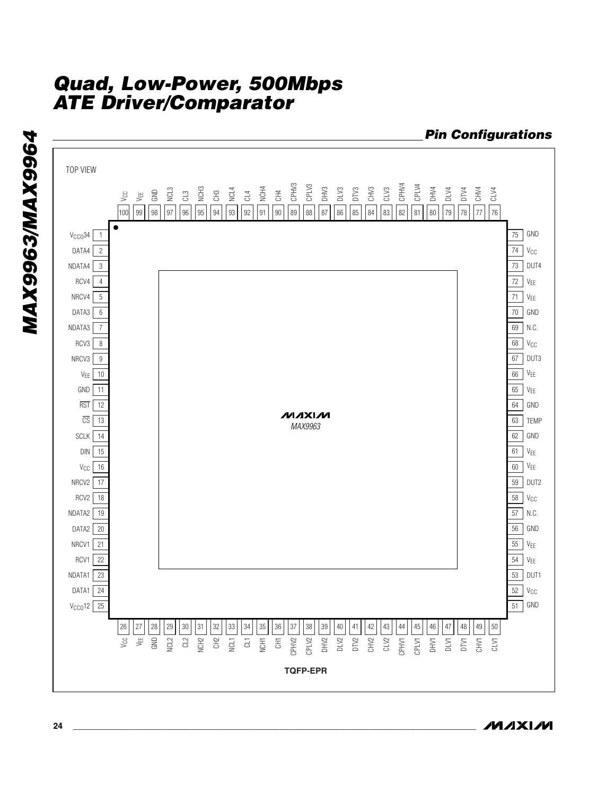

**MAXM**